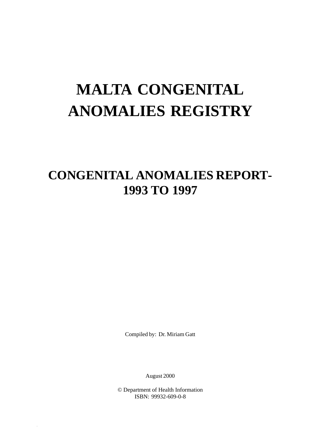# **MALTA CONGENITAL ANOMALIES REGISTRY**

## **CONGENITAL ANOMALIES REPORT-1993 TO 1997**

Compiled by: Dr. Miriam Gatt

August 2000

© Department of Health Information ISBN: 99932-609-0-8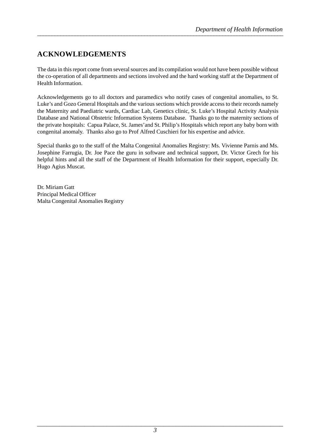### **ACKNOWLEDGEMENTS**

The data in this report come from several sources and its compilation would not have been possible without the co-operation of all departments and sections involved and the hard working staff at the Department of Health Information.

Acknowledgements go to all doctors and paramedics who notify cases of congenital anomalies, to St. Luke's and Gozo General Hospitals and the various sections which provide access to their records namely the Maternity and Paediatric wards, Cardiac Lab, Genetics clinic, St. Luke's Hospital Activity Analysis Database and National Obstetric Information Systems Database. Thanks go to the maternity sections of the private hospitals: Capua Palace, St. James'and St. Philip's Hospitals which report any baby born with congenital anomaly. Thanks also go to Prof Alfred Cuschieri for his expertise and advice.

Special thanks go to the staff of the Malta Congenital Anomalies Registry: Ms. Vivienne Parnis and Ms. Josephine Farrugia, Dr. Joe Pace the guru in software and technical support, Dr. Victor Grech for his helpful hints and all the staff of the Department of Health Information for their support, especially Dr. Hugo Agius Muscat.

Dr. Miriam Gatt Principal Medical Officer Malta Congenital Anomalies Registry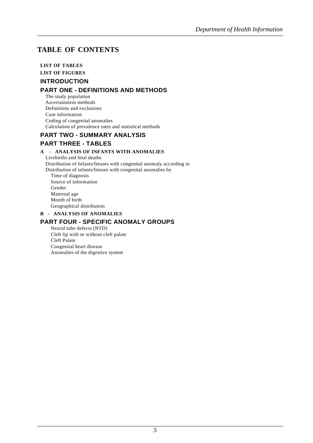### **TABLE OF CONTENTS TABLE OF CONTENTS**

#### **LIST OF TABLES**

#### **LIST OF FIGURES**

#### **INTRODUCTION**

#### **PART ONE - DEFINITIONS AND METHODS**

The study population Ascertainment methods Definitions and exclusions Case information Coding of congenital anomalies Calculation of prevalence rates and statistical methods

#### **PART TWO - SUMMARY ANALYSIS**

#### **PART THREE - TABLES**

#### **A - ANALYSIS OF INFANTS WITH ANOMALIES**

Livebirths and fetal deaths Distribution of Infants/fetuses with congenital anomaly according to Distribution of infants/fetuses with congenital anomalies by Time of diagnosis Source of information Gender Maternal age Month of birth Geographical distribution

#### **B - ANALYSIS OF ANOMALIES**

#### **PART FOUR - SPECIFIC ANOMALY GROUPS**

Neural tube defects (NTD) Cleft lip with or without cleft palate Cleft Palate Congenital heart disease Anomalies of the digestive system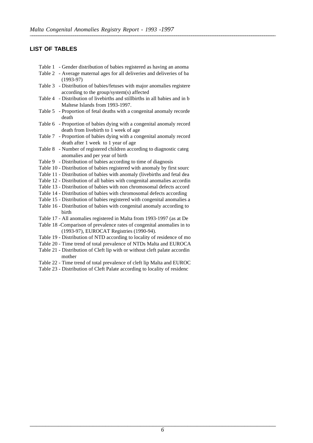#### **LIST OF TABLES**

- Table 1 Gender distribution of babies registered as having an anoma
- Table 2 Average maternal ages for all deliveries and deliveries of ba (1993-97)
- Table 3 Distribution of babies/fetuses with major anomalies registere according to the group/system(s) affected
- Table 4 Distribution of livebirths and stillbirths in all babies and in b Maltese Islands from 1993-1997.
- Table 5 Proportion of fetal deaths with a congenital anomaly recorde death
- Table 6 Proportion of babies dying with a congenital anomaly record death from livebirth to 1 week of age
- Table 7 Proportion of babies dying with a congenital anomaly record death after 1 week to 1 year of age
- Table 8 Number of registered children according to diagnostic categ anomalies and per year of birth
- Table 9 Distribution of babies according to time of diagnosis
- Table 10 Distribution of babies registered with anomaly by first sourc
- Table 11 Distribution of babies with anomaly (livebirths and fetal dea
- Table 12 Distribution of all babies with congenital anomalies accordin
- Table 13 Distribution of babies with non chromosomal defects accord
- Table 14 Distribution of babies with chromosomal defects according
- Table 15 Distribution of babies registered with congenital anomalies a
- Table 16 Distribution of babies with congenital anomaly according to birth
- Table 17 All anomalies registered in Malta from 1993-1997 (as at De
- Table 18 -Comparison of prevalence rates of congenital anomalies in to (1993-97), EUROCAT Registries (1990-94).
- Table 19 Distribution of NTD according to locality of residence of mo
- Table 20 Time trend of total prevalence of NTDs Malta and EUROCA
- Table 21 Distribution of Cleft lip with or without cleft palate accordin mother
- Table 22 Time trend of total prevalence of cleft lip Malta and EUROC
- Table 23 Distribution of Cleft Palate according to locality of residenc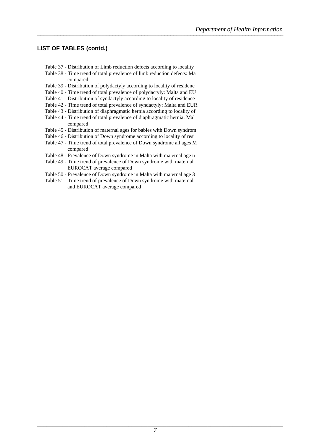#### **LIST OF TABLES (contd.)**

- Table 37 Distribution of Limb reduction defects according to locality
- Table 38 Time trend of total prevalence of limb reduction defects: Ma compared
- Table 39 Distribution of polydactyly according to locality of residenc
- Table 40 Time trend of total prevalence of polydactyly: Malta and EU
- Table 41 Distribution of syndactyly according to locality of residence
- Table 42 Time trend of total prevalence of syndactyly: Malta and EUR
- Table 43 Distribution of diaphragmatic hernia according to locality of
- Table 44 Time trend of total prevalence of diaphragmatic hernia: Mal compared
- Table 45 Distribution of maternal ages for babies with Down syndrom
- Table 46 Distribution of Down syndrome according to locality of resi
- Table 47 Time trend of total prevalence of Down syndrome all ages M compared
- Table 48 Prevalence of Down syndrome in Malta with maternal age u
- Table 49 Time trend of prevalence of Down syndrome with maternal EUROCAT average compared
- Table 50 Prevalence of Down syndrome in Malta with maternal age 3
- Table 51 Time trend of prevalence of Down syndrome with maternal and EUROCAT average compared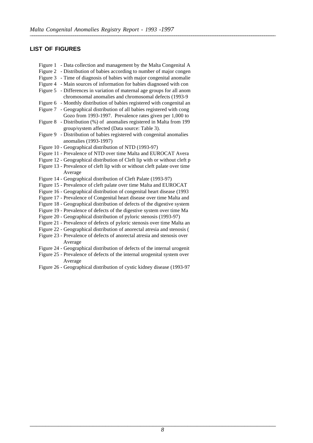#### **LIST OF FIGURES**

| - Data collection and management by the Malta Congenital A<br>Figure 1                                                              |
|-------------------------------------------------------------------------------------------------------------------------------------|
| Figure 2<br>- Distribution of babies according to number of major congen                                                            |
| Figure 3<br>- Time of diagnosis of babies with major congenital anomalie                                                            |
| Figure 4<br>- Main sources of information for babies diagnosed with con                                                             |
| - Differences in variation of maternal age groups for all anom<br>Figure 5<br>chromosomal anomalies and chromosomal defects (1993-9 |
| - Monthly distribution of babies registered with congenital an<br>Figure 6                                                          |
| - Geographical distribution of all babies registered with cong<br>Figure 7                                                          |
| Gozo from 1993-1997. Prevalence rates given per 1,000 to                                                                            |
| Figure 8 - Distribution (%) of anomalies registered in Malta from 199                                                               |
| group/system affected (Data source: Table 3).                                                                                       |
| - Distribution of babies registered with congenital anomalies<br>Figure 9                                                           |
| anomalies (1993-1997)                                                                                                               |
| Figure 10 - Geographical distribution of NTD (1993-97)                                                                              |
| Figure 11 - Prevalence of NTD over time Malta and EUROCAT Avera                                                                     |
| Figure 12 - Geographical distribution of Cleft lip with or without cleft p                                                          |
| Figure 13 - Prevalence of cleft lip with or without cleft palate over time                                                          |
| Average                                                                                                                             |
| Figure 14 - Geographical distribution of Cleft Palate (1993-97)                                                                     |
| Figure 15 - Prevalence of cleft palate over time Malta and EUROCAT                                                                  |
| Figure 16 - Geographical distribution of congenital heart disease (1993                                                             |
| Figure 17 - Prevalence of Congenital heart disease over time Malta and                                                              |
| Figure 18 - Geographical distribution of defects of the digestive system                                                            |
| Figure 19 - Prevalence of defects of the digestive system over time Ma                                                              |
| Figure 20 - Geographical distribution of pyloric stenosis (1993-97)                                                                 |
| Figure 21 - Prevalence of defects of pyloric stenosis over time Malta an                                                            |
| Figure 22 - Geographical distribution of anorectal atresia and stenosis (                                                           |
| Figure 23 - Prevalence of defects of anorectal atresia and stenosis over                                                            |
| Average                                                                                                                             |
| Figure 24 - Geographical distribution of defects of the internal urogenit                                                           |
| Figure 25 - Prevalence of defects of the internal urogenital system over                                                            |
| Average                                                                                                                             |

Figure 26 - Geographical distribution of cystic kidney disease (1993-97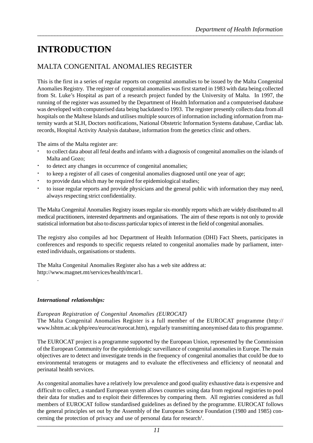### **INTRODUCTION**

### MALTA CONGENITAL ANOMALIES REGISTER

This is the first in a series of regular reports on congenital anomalies to be issued by the Malta Congenital Anomalies Registry. The register of congenital anomalies was first started in 1983 with data being collected from St. Luke's Hospital as part of a research project funded by the University of Malta. In 1997, the running of the register was assumed by the Department of Health Information and a computerised database was developed with computerised data being backdated to 1993. The register presently collects data from all hospitals on the Maltese Islands and utilises multiple sources of information including information from maternity wards at SLH, Doctors notifications, National Obstetric Information Systems database, Cardiac lab. records, Hospital Activity Analysis database, information from the genetics clinic and others.

The aims of the Malta register are:

- to collect data about all fetal deaths and infants with a diagnosis of congenital anomalies on the islands of Malta and Gozo;
- to detect any changes in occurrence of congenital anomalies;
- to keep a register of all cases of congenital anomalies diagnosed until one year of age;
- to provide data which may be required for epidemiological studies;
- to issue regular reports and provide physicians and the general public with information they may need, always respecting strict confidentiality.

The Malta Congenital Anomalies Registry issues regular six-monthly reports which are widely distributed to all medical practitioners, interested departments and organisations. The aim of these reports is not only to provide statistical information but also to discuss particular topics of interest in the field of congenital anomalies.

The registry also compiles ad hoc Department of Health Information (DHI) Fact Sheets, participates in conferences and responds to specific requests related to congenital anomalies made by parliament, interested individuals, organisations or students.

The Malta Congenital Anomalies Register also has a web site address at: http://www.magnet.mt/services/health/mcar1.

#### *International relationships:*

.

#### *European Registration of Congenital Anomalies (EUROCAT)*

The Malta Congenital Anomalies Register is a full member of the EUROCAT programme (http:// www.lshtm.ac.uk/php/eeu/eurocat/eurocat.htm), regularly transmitting anonymised data to this programme.

The EUROCAT project is a programme supported by the European Union, represented by the Commission of the European Community for the epidemiologic surveillance of congenital anomalies in Europe. The main objectives are to detect and investigate trends in the frequency of congenital anomalies that could be due to environmental teratogens or mutagens and to evaluate the effectiveness and efficiency of neonatal and perinatal health services.

 $\overline{\phantom{a}}$  ,  $\overline{\phantom{a}}$  ,  $\overline{\phantom{a}}$  ,  $\overline{\phantom{a}}$  ,  $\overline{\phantom{a}}$  ,  $\overline{\phantom{a}}$  ,  $\overline{\phantom{a}}$  ,  $\overline{\phantom{a}}$  ,  $\overline{\phantom{a}}$  ,  $\overline{\phantom{a}}$  ,  $\overline{\phantom{a}}$  ,  $\overline{\phantom{a}}$  ,  $\overline{\phantom{a}}$  ,  $\overline{\phantom{a}}$  ,  $\overline{\phantom{a}}$  ,  $\overline{\phantom{a}}$ As congenital anomalies have a relatively low prevalence and good quality exhaustive data is expensive and difficult to collect, a standard European system allows countries using data from regional registries to pool their data for studies and to exploit their differences by comparing them. All registries considered as full members of EUROCAT follow standardised guidelines as defined by the programme. EUROCAT follows the general principles set out by the Assembly of the European Science Foundation (1980 and 1985) concerning the protection of privacy and use of personal data for research<sup>1</sup>.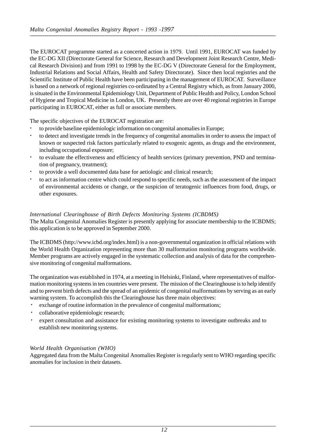The EUROCAT programme started as a concerted action in 1979. Until 1991, EUROCAT was funded by the EC-DG XII (Directorate General for Science, Research and Development Joint Research Centre, Medical Research Division) and from 1991 to 1998 by the EC-DG V (Directorate General for the Employment, Industrial Relations and Social Affairs, Health and Safety Directorate). Since then local registries and the Scientific Institute of Public Health have been participating in the management of EUROCAT. Surveillance is based on a network of regional registries co-ordinated by a Central Registry which, as from January 2000, is situated in the Environmental Epidemiology Unit, Department of Public Health and Policy, London School of Hygiene and Tropical Medicine in London, UK. Presently there are over 40 regional registries in Europe participating in EUROCAT, either as full or associate members.

The specific objectives of the EUROCAT registration are:

- to provide baseline epidemiologic information on congenital anomalies in Europe;
- to detect and investigate trends in the frequency of congenital anomalies in order to assess the impact of known or suspected risk factors particularly related to exogenic agents, as drugs and the environment, including occupational exposure;
- to evaluate the effectiveness and efficiency of health services (primary prevention, PND and termination of pregnancy, treatment);
- to provide a well documented data base for aetiologic and clinical research;
- to act as information centre which could respond to specific needs, such as the assessment of the impact of environmental accidents or change, or the suspicion of teratogenic influences from food, drugs, or other exposures.

#### *International Clearinghouse of Birth Defects Monitoring Systems (ICBDMS)*

The Malta Congenital Anomalies Register is presently applying for associate membership to the ICBDMS; this application is to be approved in September 2000.

The ICBDMS (http://www.icbd.org/index.html) is a non-governmental organization in official relations with the World Health Organization representing more than 30 malformation monitoring programs worldwide. Member programs are actively engaged in the systematic collection and analysis of data for the comprehensive monitoring of congenital malformations.

The organization was established in 1974, at a meeting in Helsinki, Finland, where representatives of malformation monitoring systems in ten countries were present. The mission of the Clearinghouse is to help identify and to prevent birth defects and the spread of an epidemic of congenital malformations by serving as an early warning system. To accomplish this the Clearinghouse has three main objectives:

- exchange of routine information in the prevalence of congenital malformations;
- collaborative epidemiologic research;
- expert consultation and assistance for existing monitoring systems to investigate outbreaks and to establish new monitoring systems.

#### *World Health Organisation (WHO)*

Aggregated data from the Malta Congenital Anomalies Register is regularly sent to WHO regarding specific anomalies for inclusion in their datasets.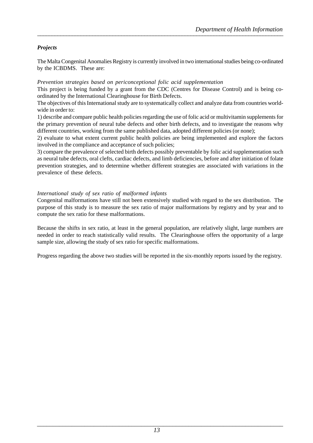#### *Projects*

The Malta Congenital Anomalies Registry is currently involved in two international studies being co-ordinated by the ICBDMS. These are:

#### *Prevention strategies based on periconceptional folic acid supplementation*

This project is being funded by a grant from the CDC (Centres for Disease Control) and is being coordinated by the International Clearinghouse for Birth Defects.

The objectives of this International study are to systematically collect and analyze data from countries worldwide in order to:

1) describe and compare public health policies regarding the use of folic acid or multivitamin supplements for the primary prevention of neural tube defects and other birth defects, and to investigate the reasons why different countries, working from the same published data, adopted different policies (or none);

2) evaluate to what extent current public health policies are being implemented and explore the factors involved in the compliance and acceptance of such policies;

3) compare the prevalence of selected birth defects possibly preventable by folic acid supplementation such as neural tube defects, oral clefts, cardiac defects, and limb deficiencies, before and after initiation of folate prevention strategies, and to determine whether different strategies are associated with variations in the prevalence of these defects.

#### *International study of sex ratio of malformed infants*

Congenital malformations have still not been extensively studied with regard to the sex distribution. The purpose of this study is to measure the sex ratio of major malformations by registry and by year and to compute the sex ratio for these malformations.

Because the shifts in sex ratio, at least in the general population, are relatively slight, large numbers are needed in order to reach statistically valid results. The Clearinghouse offers the opportunity of a large sample size, allowing the study of sex ratio for specific malformations.

Progress regarding the above two studies will be reported in the six-monthly reports issued by the registry.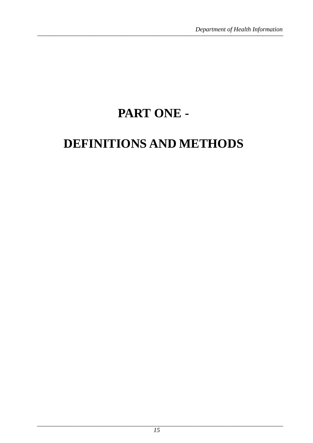## PART ONE -

## DEFINITIONS AND METHODS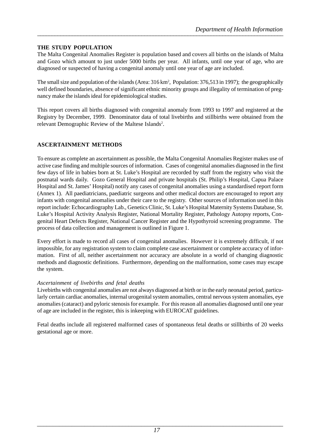#### **THE STUDY POPULATION**

The Malta Congenital Anomalies Register is population based and covers all births on the islands of Malta and Gozo which amount to just under 5000 births per year. All infants, until one year of age, who are diagnosed or suspected of having a congenital anomaly until one year of age are included.

The small size and population of the islands (Area: 316 km<sup>2</sup>, Population: 376,513 in 1997); the geographically well defined boundaries, absence of significant ethnic minority groups and illegality of termination of pregnancy make the islands ideal for epidemiological studies.

This report covers all births diagnosed with congenital anomaly from 1993 to 1997 and registered at the Registry by December, 1999. Denominator data of total livebirths and stillbirths were obtained from the relevant Demographic Review of the Maltese Islands<sup>2</sup>.

#### **ASCERTAINMENT METHODS**

To ensure as complete an ascertainment as possible, the Malta Congenital Anomalies Register makes use of active case finding and multiple sources of information. Cases of congenital anomalies diagnosed in the first few days of life in babies born at St. Luke's Hospital are recorded by staff from the registry who visit the postnatal wards daily. Gozo General Hospital and private hospitals (St. Philip's Hospital, Capua Palace Hospital and St. James' Hospital) notify any cases of congenital anomalies using a standardised report form (Annex 1). All paediatricians, paediatric surgeons and other medical doctors are encouraged to report any infants with congenital anomalies under their care to the registry. Other sources of information used in this report include: Echocardiography Lab., Genetics Clinic, St. Luke's Hospital Maternity Systems Database, St. Luke's Hospital Activity Analysis Register, National Mortality Register, Pathology Autopsy reports, Congenital Heart Defects Register, National Cancer Register and the Hypothyroid screening programme. The process of data collection and management is outlined in Figure 1.

Every effort is made to record all cases of congenital anomalies. However it is extremely difficult, if not impossible, for any registration system to claim complete case ascertainment or complete accuracy of information. First of all, neither ascertainment nor accuracy are absolute in a world of changing diagnostic methods and diagnostic definitions. Furthermore, depending on the malformation, some cases may escape the system.

#### *Ascertainment of livebirths and fetal deaths*

Livebirths with congenital anomalies are not always diagnosed at birth or in the early neonatal period, particularly certain cardiac anomalies, internal urogenital system anomalies, central nervous system anomalies, eye anomalies (cataract) and pyloric stenosis for example. For this reason all anomalies diagnosed until one year of age are included in the register, this is inkeeping with EUROCAT guidelines.

Fetal deaths include all registered malformed cases of spontaneous fetal deaths or stillbirths of 20 weeks gestational age or more.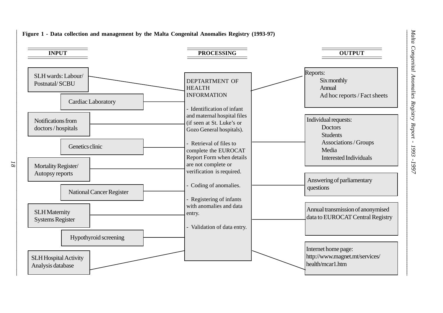

*Malta Congenital Anomalies Registry Report - 1993 -1997*

 $\overline{g}$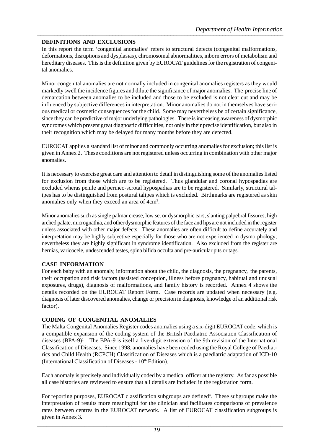#### **DEFINITIONS AND EXCLUSIONS**

In this report the term 'congenital anomalies' refers to structural defects (congenital malformations, deformations, disruptions and dysplasias), chromosomal abnormalities, inborn errors of metabolism and hereditary diseases. This is the definition given by EUROCAT guidelines for the registration of congenital anomalies.

Minor congenital anomalies are not normally included in congenital anomalies registers as they would markedly swell the incidence figures and dilute the significance of major anomalies. The precise line of demarcation between anomalies to be included and those to be excluded is not clear cut and may be influenced by subjective differences in interpretation. Minor anomalies do not in themselves have serious medical or cosmetic consequences for the child. Some may nevertheless be of certain significance, since they can be predictive of major underlying pathologies. There is increasing awareness of dysmorphic syndromes which present great diagnostic difficulties, not only in their precise identification, but also in their recognition which may be delayed for many months before they are detected.

EUROCAT applies a standard list of minor and commonly occurring anomalies for exclusion; this list is given in Annex 2. These conditions are not registered unless occurring in combination with other major anomalies.

It is necessary to exercise great care and attention to detail in distinguishing some of the anomalies listed for exclusion from those which are to be registered. Thus glandular and coronal hypospadias are excluded wheras penile and perineo-scrotal hypospadias are to be registered. Similarly, structural talipes has to be distinguished from postural talipes which is excluded. Birthmarks are registered as skin anomalies only when they exceed an area of 4cm<sup>2</sup>.

Minor anomalies such as single palmar crease, low set or dysmorphic ears, slanting palpebral fissures, high arched palate, micrognathia, and other dysmorphic features of the face and lips are not included in the register unless associated with other major defects. These anomalies are often difficult to define accurately and interpretation may be highly subjective especially for those who are not experienced in dysmorphology; nevertheless they are highly significant in syndrome identification. Also excluded from the register are hernias, varicocele, undescended testes, spina bifida occulta and pre-auricular pits or tags.

#### **CASE INFORMATION**

For each baby with an anomaly, information about the child, the diagnosis, the pregnancy, the parents, their occupation and risk factors (assisted conception, illness before pregnancy, habitual and unusual exposures, drugs), diagnosis of malformations, and family history is recorded. Annex 4 shows the details recorded on the EUROCAT Report Form. Case records are updated when necessary (e.g. diagnosis of later discovered anomalies, change or precision in diagnosis, knowledge of an additional risk factor).

#### **CODING OF CONGENITAL ANOMALIES**

The Malta Congenital Anomalies Register codes anomalies using a six-digit EUROCAT code, which is a compatible expansion of the coding system of the British Paediatric Association Classification of diseases  $(BPA-9)^1$ . The BPA-9 is itself a five-digit extension of the 9th revision of the International Classification of Diseases. Since 1998, anomalies have been coded using the Royal College of Paediatrics and Child Health (RCPCH) Classification of Diseases which is a paediatric adaptation of ICD-10 (International Classification of Diseases -  $10<sup>th</sup>$  Edition).

Each anomaly is precisely and individually coded by a medical officer at the registry. As far as possible all case histories are reviewed to ensure that all details are included in the registration form.

For reporting purposes, EUROCAT classification subgroups are defined<sup>4</sup>. These subgroups make the interpretation of results more meaningful for the clinician and facilitates comparisons of prevalence rates between centres in the EUROCAT network. A list of EUROCAT classification subgroups is given in Annex 3**.**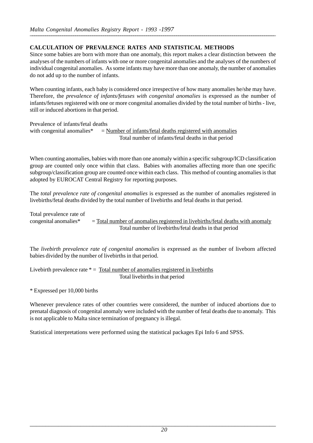#### **CALCULATION OF PREVALENCE RATES AND STATISTICAL METHODS**

Since some babies are born with more than one anomaly, this report makes a clear distinction between the analyses of the numbers of infants with one or more congenital anomalies and the analyses of the numbers of individual congenital anomalies. As some infants may have more than one anomaly, the number of anomalies do not add up to the number of infants.

When counting infants, each baby is considered once irrespective of how many anomalies he/she may have. Therefore, the *prevalence of infants/fetuses with congenital anomalies* is expressed as the number of infants/fetuses registered with one or more congenital anomalies divided by the total number of births - live, still or induced abortions in that period.

Prevalence of infants/fetal deaths with congenital anomalies $* =$  Number of infants/fetal deaths registered with anomalies Total number of infants/fetal deaths in that period

When counting anomalies, babies with more than one anomaly within a specific subgroup/ICD classification group are counted only once within that class. Babies with anomalies affecting more than one specific subgroup/classification group are counted once within each class. This method of counting anomalies is that adopted by EUROCAT Central Registry for reporting purposes.

The *total prevalence rate of congenital anomalies* is expressed as the number of anomalies registered in livebirths/fetal deaths divided by the total number of livebirths and fetal deaths in that period.

Total prevalence rate of congenital anomalies\* = Total number of anomalies registered in livebirths/fetal deaths with anomaly Total number of livebirths/fetal deaths in that period

The *livebirth prevalence rate of congenital anomalies* is expressed as the number of liveborn affected babies divided by the number of livebirths in that period.

Livebirth prevalence rate  $* =$  Total number of anomalies registered in livebirths Total livebirths in that period

\* Expressed per 10,000 births

Whenever prevalence rates of other countries were considered, the number of induced abortions due to prenatal diagnosis of congenital anomaly were included with the number of fetal deaths due to anomaly. This is not applicable to Malta since termination of pregnancy is illegal.

Statistical interpretations were performed using the statistical packages Epi Info 6 and SPSS.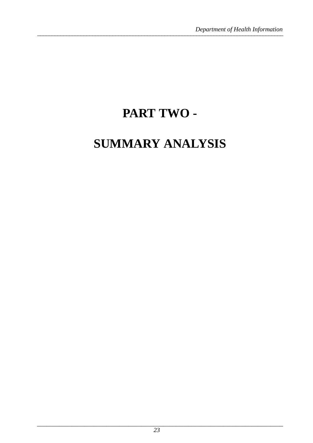## PART TWO-

## **SUMMARY ANALYSIS**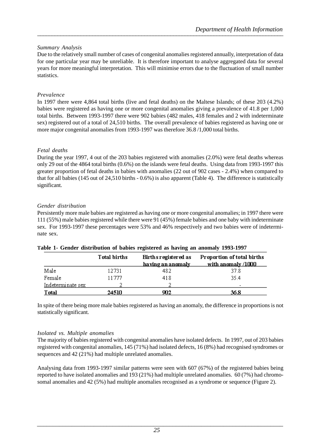#### *Summary Analysis*

Due to the relatively small number of cases of congenital anomalies registered annually, interpretation of data for one particular year may be unreliable. It is therefore important to analyse aggregated data for several years for more meaningful interpretation. This will minimise errors due to the fluctuation of small number statistics.

#### *Prevalence*

In 1997 there were 4,864 total births (live and fetal deaths) on the Maltese Islands; of these 203 (4.2%) babies were registered as having one or more congenital anomalies giving a prevalence of 41.8 per 1,000 total births. Between 1993-1997 there were 902 babies (482 males, 418 females and 2 with indeterminate sex) registered out of a total of 24,510 births. The overall prevalence of babies registered as having one or more major congenital anomalies from 1993-1997 was therefore 36.8 /1,000 total births.

#### *Fetal deaths*

During the year 1997, 4 out of the 203 babies registered with anomalies (2.0%) were fetal deaths whereas only 29 out of the 4864 total births (0.6%) on the islands were fetal deaths. Using data from 1993-1997 this greater proportion of fetal deaths in babies with anomalies (22 out of 902 cases - 2.4%) when compared to that for all babies (145 out of 24,510 births - 0.6%) is also apparent (Table 4). The difference is statistically significant.

#### *Gender distribution*

Persistently more male babies are registered as having one or more congenital anomalies; in 1997 there were 111 (55%) male babies registered while there were 91 (45%) female babies and one baby with indeterminate sex. For 1993-1997 these percentages were 53% and 46% respectively and two babies were of indeterminate sex.

|                   | Total births | Births registered as<br>having an anomaly | Proportion of total births<br>with anomaly /1000 |
|-------------------|--------------|-------------------------------------------|--------------------------------------------------|
| Male              | 12731        | 482                                       | 37.8                                             |
| Female            | 11777        | 418                                       | 35.4                                             |
| Indeterminate sex |              |                                           |                                                  |
| Total             | 24510        | 902                                       | 36.8                                             |

#### **Table 1- Gender distribution of babies registered as having an anomaly 1993-1997**

In spite of there being more male babies registered as having an anomaly, the difference in proportions is not statistically significant.

#### *Isolated vs. Multiple anomalies*

The majority of babies registered with congenital anomalies have isolated defects. In 1997, out of 203 babies registered with congenital anomalies, 145 (71%) had isolated defects, 16 (8%) had recognised syndromes or sequences and 42 (21%) had multiple unrelated anomalies.

Analysing data from 1993-1997 similar patterns were seen with 607 (67%) of the registered babies being reported to have isolated anomalies and 193 (21%) had multiple unrelated anomalies. 60 (7%) had chromosomal anomalies and 42 (5%) had multiple anomalies recognised as a syndrome or sequence (Figure 2).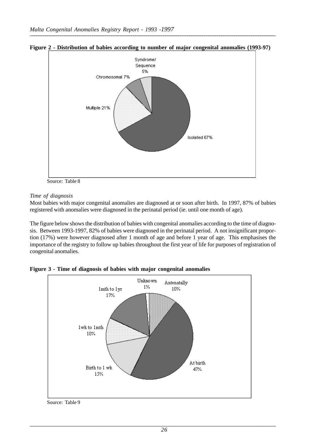

**Figure 2 - Distribution of babies according to number of major congenital anomalies (1993-97)**

Source: Table 8

#### *Time of diagnosis*

Most babies with major congenital anomalies are diagnosed at or soon after birth. In 1997, 87% of babies registered with anomalies were diagnosed in the perinatal period (ie. until one month of age).

The figure below shows the distribution of babies with congenital anomalies according to the time of diagnosis. Between 1993-1997, 82% of babies were diagnosed in the perinatal period. A not insignificant proportion (17%) were however diagnosed after 1 month of age and before 1 year of age. This emphasises the importance of the registry to follow up babies throughout the first year of life for purposes of registration of congenital anomalies.



**Figure 3 - Time of diagnosis of babies with major congenital anomalies**

Source: Table 9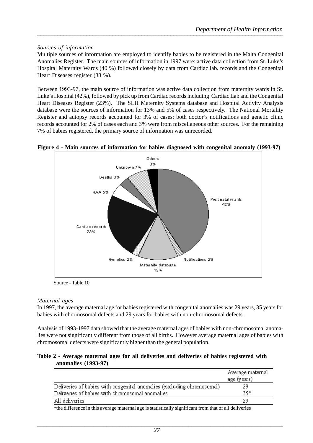#### *Sources of information*

Multiple sources of information are employed to identify babies to be registered in the Malta Congenital Anomalies Register. The main sources of information in 1997 were: active data collection from St. Luke's Hospital Maternity Wards (40 %) followed closely by data from Cardiac lab. records and the Congenital Heart Diseases register (38 %).

Between 1993-97, the main source of information was active data collection from maternity wards in St. Luke's Hospital (42%), followed by pick up from Cardiac records including Cardiac Lab and the Congenital Heart Diseases Register (23%). The SLH Maternity Systems database and Hospital Activity Analysis database were the sources of information for 13% and 5% of cases respectively. The National Mortality Register and autopsy records accounted for 3% of cases; both doctor's notifications and genetic clinic records accounted for 2% of cases each and 3% were from miscellaneous other sources. For the remaining 7% of babies registered, the primary source of information was unrecorded.



#### **Figure 4 - Main sources of information for babies diagnosed with congenital anomaly (1993-97)**

Source - Table 10

#### *Maternal ages*

In 1997, the average maternal age for babies registered with congenital anomalies was 29 years, 35 years for babies with chromosomal defects and 29 years for babies with non-chromosomal defects.

Analysis of 1993-1997 data showed that the average maternal ages of babies with non-chromosomal anomalies were not significantly different from those of all births. However average maternal ages of babies with chromosomal defects were significantly higher than the general population.

#### **Table 2 - Average maternal ages for all deliveries and deliveries of babies registered with anomalies (1993-97)**

|                                                                        | Average maternal<br>age (years) |
|------------------------------------------------------------------------|---------------------------------|
| Deliveries of babies with congenital anomalies (excluding chromosomal) | 29                              |
| Deliveries of babies with chromosomal anomalies                        | 35*                             |
| All deliveries                                                         | 29                              |
| $\cdots$<br>$\sim$<br>.<br>$\sim$ $\sim$ $\sim$ $\sim$<br>.            | .                               |

\*the difference in this average maternal age is statistically significant from that of all deliveries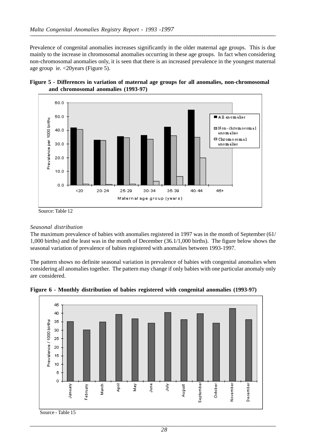Prevalence of congenital anomalies increases significantly in the older maternal age groups. This is due mainly to the increase in chromosomal anomalies occurring in these age groups. In fact when considering non-chromosomal anomalies only, it is seen that there is an increased prevalence in the youngest maternal age group ie. <20years (Figure 5).





### Source: Table 12

#### *Seasonal distribution*

The maximum prevalence of babies with anomalies registered in 1997 was in the month of September (61/ 1,000 births) and the least was in the month of December (36.1/1,000 births). The figure below shows the seasonal variation of prevalence of babies registered with anomalies between 1993-1997.

The pattern shows no definite seasonal variation in prevalence of babies with congenital anomalies when considering all anomalies together. The pattern may change if only babies with one particular anomaly only are considered.



**Figure 6 - Monthly distribution of babies registered with congenital anomalies (1993-97)**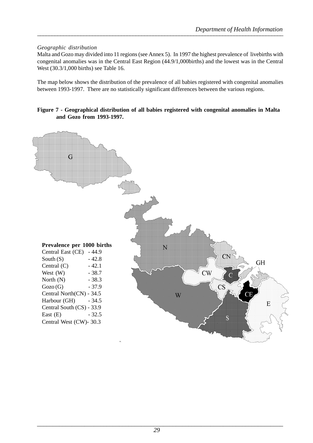#### *Geographic distribution*

Malta and Gozo may divided into 11 regions (see Annex 5). In 1997 the highest prevalence of livebirths with congenital anomalies was in the Central East Region (44.9/1,000births) and the lowest was in the Central West (30.3/1,000 births) see Table 16.

The map below shows the distribution of the prevalence of all babies registered with congenital anomalies between 1993-1997. There are no statistically significant differences between the various regions.

#### **Figure 7 - Geographical distribution of all babies registered with congenital anomalies in Malta and Gozo from 1993-1997.**

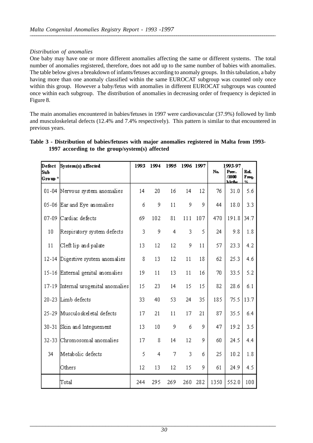#### *Distribution of anomalies*

One baby may have one or more different anomalies affecting the same or different systems. The total number of anomalies registered, therefore, does not add up to the same number of babies with anomalies. The table below gives a breakdown of infants/fetuses according to anomaly groups. In this tabulation, a baby having more than one anomaly classified within the same EUROCAT subgroup was counted only once within this group. However a baby/fetus with anomalies in different EUROCAT subgroups was counted once within each subgroup. The distribution of anomalies in decreasing order of frequency is depicted in Figure 8.

The main anomalies encountered in babies/fetuses in 1997 were cardiovascular (37.9%) followed by limb and musculoskeletal defects (12.4% and 7.4% respectively). This pattern is similar to that encountered in previous years.

| Defect         | System(s) affected                  | 1993 | 1994 | 1995 | 1996 1997 |     |      | 1993-97                  |                    |
|----------------|-------------------------------------|------|------|------|-----------|-----|------|--------------------------|--------------------|
| Sub<br>Group * |                                     |      |      |      |           |     | No.  | Prev.<br>/1000<br>hirfhs | Rel.<br>Freq.<br>% |
|                | 01-04 Nervous system anomalies      | 14   | 20   | 16   | 14        | 12  | 76   | 31.0                     | 5.6                |
|                | 05-06 Ear and Eye anomalies         | б    | 9    | 11   | 9         | 9   | 44   | 18.0                     | 3.3                |
|                | 07-09 Cardiac defects               | 69   | 102  | 81   | 111       | 107 | 470  | 191.8                    | 34.7               |
| 10             | Respiratory system defects          | 3    | 9    | 4    | 3         | 5   | 24   | 9.8                      | 1.8                |
| 11             | Cleft lip and palate                | 13   | 12   | 12   | 9         | 11  | 57   | 23.3                     | 4.2                |
|                | 12-14 Digestive system anomalies    | 8    | 13   | 12   | 11        | 18  | 62   | 25.3                     | 4.6                |
|                | 15-16 External genital anomalies    | 19   | 11   | 13   | 11        | 16  | 70   | 33.5                     | 5.2                |
|                | 17-19 Internal urogenital anomalies | 15   | 23   | 14   | 15        | 15  | 82   | 28.6                     | 6.1                |
|                | 20-23 Limb defects                  | 33   | 40   | 53   | 24        | 35  | 185  | 75.5                     | 13.7               |
|                | 25-29 Musculoskeletal defects       | 17   | 21   | 11   | 17        | 21  | 87   | 35.5                     | 6.4                |
|                | 30-31 Skin and Integuement          | 13   | 10   | 9    | б         | 9   | 47   | 19.2                     | 3.5                |
|                | 32-33 Chromosomal anomalies         | 17   | 8    | 14   | 12        | 9   | 60   | 24.5                     | 4.4                |
| 34             | Metabolic defects                   | 5    | 4    | 7    | 3         | б   | 25   | 10.2                     | 1.8                |
|                | Others                              | 12   | 13   | 12   | 15        | 9   | 61   | 24.9                     | 4.5                |
|                | Total                               | 244  | 295  | 269  | 260       | 282 | 1350 | 552.0                    | 100                |

#### **Table 3 - Distribution of babies/fetuses with major anomalies registered in Malta from 1993- 1997 according to the group/system(s) affected**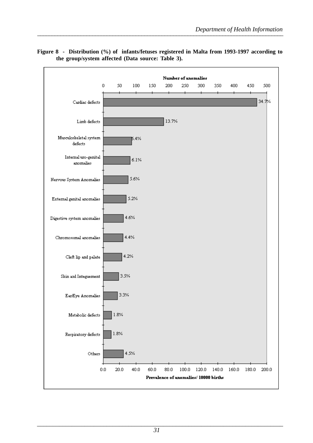

**Figure 8 - Distribution (%) of infants/fetuses registered in Malta from 1993-1997 according to the group/system affected (Data source: Table 3).**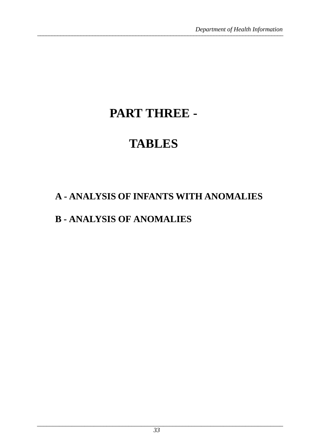## **PART THREE -**

## **TABLES**

### **A - ANALYSIS OF INFANTS WITH ANOMALIES**

### **B - ANALYSIS OF ANOMALIES**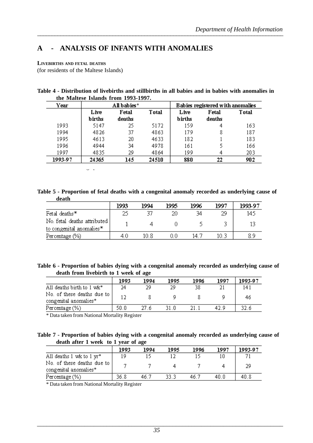### **A - ANALYSIS OF INFANTS WITH ANOMALIES**

#### **LIVEBIRTHS AND FETAL DEATHS**

(for residents of the Maltese Islands)

| Table 4 - Distribution of livebirths and stillbirths in all babies and in babies with anomalies in |  |  |  |
|----------------------------------------------------------------------------------------------------|--|--|--|
| the Maltese Islands from 1993-1997.                                                                |  |  |  |

| Year    |        | All babies* |       | Babies registered with anomalies |        |       |  |
|---------|--------|-------------|-------|----------------------------------|--------|-------|--|
|         | Live   | Fetal       | Total | Live                             | Fetal  | Total |  |
|         | births | deaths      |       | births                           | deaths |       |  |
| 1993    | 5147   | 25          | 5172  | 159                              | 4      | 163   |  |
| 1994    | 4826   | 37          | 4863  | 179                              | 8      | 187   |  |
| 1995    | 4613   | 20          | 4633  | 182                              |        | 183   |  |
| 1996    | 4944   | 34          | 4978  | 161                              |        | 166   |  |
| 1997    | 4835   | 29          | 4864  | 199                              | 4      | 203   |  |
| 1993-97 | 24365  | 145         | 24510 | 880                              | 22     | 902   |  |

\*Taken from Demographic Reviews of the Maltese Islands 1993 to 1997

**Table 5 - Proportion of fetal deaths with a congenital anomaly recorded as underlying cause of death**

|                             | 1993 | 1994 | 1995 | 1996 | 1997 | 1993-97 |
|-----------------------------|------|------|------|------|------|---------|
| Fetal deaths*               | 25   |      | 20   | 34   | 29   | 145     |
| No. fetal deaths attributed |      |      |      |      |      |         |
| to congenital anomalies*    |      |      |      |      |      |         |
| Percentage (%)              | 4.0  | 10 R | U.U  | 14.7 |      |         |

| Table 6 - Proportion of babies dying with a congenital anomaly recorded as underlying cause of |  |  |
|------------------------------------------------------------------------------------------------|--|--|
| death from livebirth to 1 week of age                                                          |  |  |

|                                                     | 1993 | 1994 | 1995 | 1996 | 1997 | 1993-97 |
|-----------------------------------------------------|------|------|------|------|------|---------|
| All deaths birth to 1 wk*                           | 24   | 29   | 29   | 38   |      | 141     |
| No. of these deaths due to<br>congenital anomalies* |      |      |      |      |      | 46      |
| Percentage (%)                                      | 50.O | 27.6 | 31 N |      | 42.9 | 32.6    |

\* Data taken from National Mortality Register

| Table 7 - Proportion of babies dying with a congenital anomaly recorded as underlying cause of |  |  |  |
|------------------------------------------------------------------------------------------------|--|--|--|
| death after 1 week to 1 year of age                                                            |  |  |  |

|                                                     | 1993 | 1994 | 1995 | 1996 | 1997 | 1993-97 |
|-----------------------------------------------------|------|------|------|------|------|---------|
| All deaths 1 wk to 1 yr*                            | 1 Q  |      |      |      |      |         |
| No. of these deaths due to<br>congenital anomalies* |      |      |      |      |      | 29      |
| Percentage (%)                                      | 36.8 | 46.7 | 33 B | 46.7 | 40.0 | 40.8    |

\* Data taken from National Mortality Register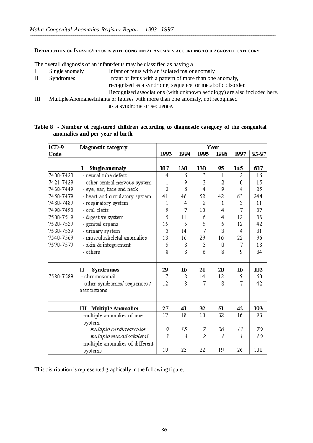#### **DISTRIBUTION OF INFANTS/FETUSES WITH CONGENITAL ANOMALY ACCORDING TO DIAGNOSTIC CATEGORY**

The overall diagnosis of an infant/fetus may be classified as having a

- I Single anomaly Infant or fetus with an isolated major anomaly
- II Syndromes Infant or fetus with a pattern of more than one anomaly, recognised as a syndrome, sequence, or metabolic disorder. Recognised associations (with unknown aetiology) are also included here.
- III Multiple AnomaliesInfants or fetuses with more than one anomaly, not recognised as a syndrome or sequence.

#### **Table 8 - Number of registered children according to diagnostic category of the congenital anomalies and per year of birth**

| $ICD-9$   | Diagnostic category                 |      |      |                 | Year            |      |       |
|-----------|-------------------------------------|------|------|-----------------|-----------------|------|-------|
| Code      |                                     | 1993 | 1994 | 1995            | 1996            | 1997 | 93-97 |
|           | Single anomaly<br>I                 | 107  | 130  | 130             | 95              | 145  | 607   |
| 7400-7420 | - neural tube defect                | 4    | б    | 3               | 1               | 2    | 16    |
| 7421-7429 | - other central nervous system      | 1    | 9    | 3               | 2               | 0    | 15    |
| 7430-7449 | - eye, ear, face and neck           | 2    | б    | 4               | 9               | 4    | 25    |
| 7450-7479 | - heart and circulatory system      | 41   | 46   | 52              | 42              | 63   | 244   |
| 7480-7489 | - respiratory system                | 1    | 4    | 2               | 1               | 3    | 11    |
| 7490-7493 | - oral clefts                       | 9    | 7    | 10 <sup>1</sup> | 4               | 7    | 37    |
| 7500-7519 | - digestive system                  | 5    | 11   | б               | 4               | 12   | 38    |
| 7520-7529 | - genital organs                    | 15   | 5    | 5               | 5               | 12   | 42    |
| 7530-7539 | - urinary system                    | 3    | 14   | 7               | 3               | 4    | 31    |
| 7540-7569 | - musculoskeletal anomalies         | 13   | 16   | 29              | 16              | 22   | 96    |
| 7570-7579 | - skin & integuement                | 5    | 3    | 3               | 0               | 7    | 18    |
|           | - others                            | 8    | 3    | б               | 8               | 9    | 34    |
|           | $\mathbf{I}$<br><b>Syndromes</b>    | 29   | 16   | 21              | 20              | 16   | 102   |
| 7580-7589 | - chromosomal                       | 17   | 8    | 14              | 12              | 9    | 60    |
|           | - other syndromes/ sequences /      | 12   | 8    | 7               | 8               | 7    | 42    |
|           | associations                        |      |      |                 |                 |      |       |
|           | <b>Multiple Anomalies</b><br>Ш      | 27   | 41   | 32              | 51              | 42   | 193   |
|           | - multiple anomalies of one         | 17   | 18   | 10              | $\overline{32}$ | 16   | 93    |
|           | system                              |      |      |                 |                 |      |       |
|           | - multiple cardiovascular           | 9    | 15   | 7               | 26              | 13   | 70    |
|           | - multiple musculoskeletal          | 3    | 3    | $\overline{2}$  | l               | 1    | 10    |
|           | $-$ multiple anomalies of different |      |      |                 |                 |      |       |
|           | systems                             | 10   | 23   | 22              | 19              | 26   | 100   |

This distribution is represented graphically in the following figure.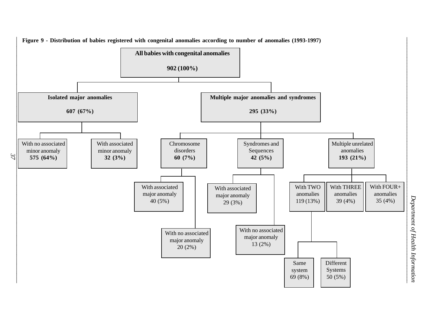

 *Department of Health Information*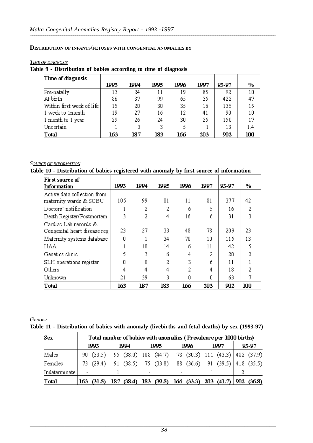#### **DISTRIBUTION OF INFANTS/FETUSES WITH CONGENITAL ANOMALIES BY**

#### *TIME OF DIAGNOSIS*

#### **Table 9 - Distribution of babies according to time of diagnosis**

| Time of diagnosis         |      |      |      |      |      |       |     |
|---------------------------|------|------|------|------|------|-------|-----|
|                           | 1993 | 1994 | 1995 | 1996 | 1997 | 93-97 | %   |
| Pre-natally               | 13   | 24   | 11   | 19   | 85   | 92    | 10  |
| At birth                  | 86   | 87   | 99   | 65   | 35   | 422   | 47  |
| Within first week of life | 15   | 20   | 30   | 35   | 16   | 135   | 15  |
| 1 week to 1 month         | 19   | 27   | 16   | 12   | 41   | 90    | 10  |
| 1 month to 1 year         | 29   | 26   | 24   | 30   | 25   | 150   | 17  |
| Uncertain                 |      | 3    | 3.   | ٢    |      | 13    | 1.4 |
| <b>T</b> otal             | 163  | 187  | 183  | 166  | 203  | 902   | 100 |

#### *SOURCE OF INFORMATION*

#### **Table 10 - Distribution of babies registered with anomaly by first source of information**

| First source of                                       |      |      |      |      |      |       |     |
|-------------------------------------------------------|------|------|------|------|------|-------|-----|
| Information                                           | 1993 | 1994 | 1995 | 1996 | 1997 | 93-97 | %   |
| Active data collection from<br>maternity wards & SCBU | 105  | 99   | 81   | 11   | 81   | 377   | 42  |
| Doctors' notification                                 |      | 2    | 2    | б    | 5    | 16    | 2   |
| Death Register/Postmortem                             | 3    | 2    | 4    | 16   | ń    | 31    | 3   |
| Cardiac Lab records &<br>Congenital heart disease reg | 23   | 27   | 33   | 48   | 78   | 209   | 23  |
| Maternity systems database                            | Ο    |      | 34   | 70   | 10   | 115   | 13  |
| HAA                                                   |      | 10   | 14   | ń    | 11   | 42    | 5   |
| Genetics clinic                                       | 5    | 3    | ń    | 4    | 2    | 20    | 2   |
| SLH operations register                               | n    | Ω    | 2    | 3    | ń    | 11    |     |
| Others                                                | 4    | 4    | 4    | 2    | 4    | 18    |     |
| Unknown                                               | 21   | 39   | 3.   | Ω    | Ω    | 63    |     |
| Total                                                 | 163  | 187  | 183  | 166  | 203  | 902   | 100 |

#### *GENDER* **Table 11 - Distribution of babies with anomaly (livebirths and fetal deaths) by sex (1993-97)**

| Sex             |                          | Total number of babies with anomalies (Prevalence per 1000 births) |        |                          |       |                          |      |                                               |       |
|-----------------|--------------------------|--------------------------------------------------------------------|--------|--------------------------|-------|--------------------------|------|-----------------------------------------------|-------|
|                 | 1993.                    |                                                                    | 1994   |                          | 1995. |                          | 1996 | 1997                                          | 93-97 |
| Males           |                          | 90 (33.5) 95 (38.0) 108 (44.7) 78 (30.3) 111 (43.3) 482 (37.9)     |        |                          |       |                          |      |                                               |       |
| Females         |                          | 73 (29.4) 91 (38.5) 75 (33.8) 88 (36.6) 91 (39.5) 418 (35.5)       |        |                          |       |                          |      |                                               |       |
| Indeterminate l | $\overline{\phantom{a}}$ |                                                                    |        | $\overline{\phantom{a}}$ |       | $\overline{\phantom{0}}$ |      |                                               |       |
| Total           | 163 -<br>(31.5)          | 187.                                                               | (38.4) |                          |       |                          |      | 183 (39.5) 166 (33.3) 203 (41.7)   902 (36.8) |       |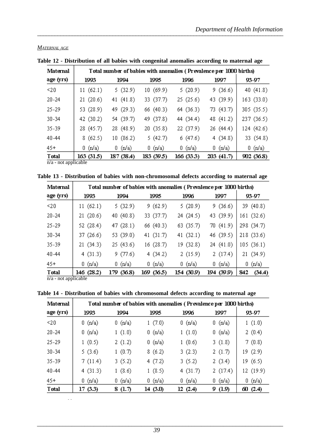| Maternal      |                                |                   |            |            | Total number of babies with anomalies (Prevalence per 1000 births) |             |
|---------------|--------------------------------|-------------------|------------|------------|--------------------------------------------------------------------|-------------|
| age (yrs)     | 1993                           | 1994              | 1995       | 1996       | 1997                                                               | 93-97       |
| $20$          | 11(62.1)                       | 5(32.9)           | 10(69.9)   | 5(20.9)    | 9(36.6)                                                            | 40 $(41.8)$ |
| $20 - 24$     | 21(20.6)                       | 41 $(41.8)$       | 33 (37.7)  | 25(25.6)   | 43 (39.9)                                                          | 163(33.0)   |
| 25-29         | 53 (28.9)                      | 49 (29.3)         | 66 (40.3)  | 64 (36.3)  | 73 (43.7)                                                          | 305 (35.5)  |
| 30-34         | 42 (30.2)                      | 54 (39.7)         | 49 (37.8)  | 44 (34.4)  | 48 (41.2)                                                          | 237 (36.5)  |
| 35-39         | 28 (45.7)                      | 28 (48.9)         | 20(35.8)   | 22 (37.9)  | 26 (44.4)                                                          | 124 (42.6)  |
| 40-44         | 8(62.5)                        | 10(86.2)          | 5(42.7)    | 6(47.6)    | 4(34.8)                                                            | 33 (54.8)   |
| $45 +$        | 0 (n/a)                        | $0 \text{ (n/a)}$ | 0 (n/a)    | 0 (n/a)    | 0 (n/a)                                                            | 0 (n/a)     |
| <b>T</b> otal | 163(31.5)<br>$\cdots$ $\cdots$ | 187 (38.4)        | 183 (39.5) | 166 (33.3) | 203(41.7)                                                          | 902 (36.8)  |

#### *MATERNAL AGE*

**Table 12 - Distribution of all babies with congenital anomalies according to maternal age**

 $\frac{1 \text{ or } }{n/a - \text{not applicable}}$ 

|  |  | Table 13 - Distribution of babies with non-chromosomal defects according to maternal age |  |  |
|--|--|------------------------------------------------------------------------------------------|--|--|
|  |  |                                                                                          |  |  |

| Maternal      |                   |                   |                   | Total number of babies with anomalies (Prevalence per 1000 births) |            |                   |
|---------------|-------------------|-------------------|-------------------|--------------------------------------------------------------------|------------|-------------------|
| age (yrs)     | 1993              | 1994              | 1995              | 1996                                                               | 1997       | 93-97             |
| $20$          | 11(62.1)          | 5(32.9)           | 9(62.9)           | 5(20.9)                                                            | 9(36.6)    | 39 (40.8)         |
| $20 - 24$     | 21(20.6)          | 40 (40.8)         | 33 (37.7)         | 24 (24.5)                                                          | 43 (39.9)  | 161(32.6)         |
| 25-29         | 52 (28.4)         | 47(28.1)          | 66 (40.3)         | 63 (35.7)                                                          | 70(41.9)   | 298 (34.7)        |
| $30 - 34$     | 37 (26.6)         | 53 (39.0)         | 41 (31.7)         | 41 $(32.1)$                                                        | 46 (39.5)  | 218 (33.6)        |
| 35-39         | 21(34.3)          | 25(43.6)          | 16(28.7)          | 19 (32.8)                                                          | 24(41.0)   | 105(36.1)         |
| 40-44         | 4(31.3)           | 9(77.6)           | 4(34.2)           | 2(15.9)                                                            | 2(17.4)    | 21(34.9)          |
| 45+           | $0 \text{ (n/a)}$ | $0 \text{ (n/a)}$ | $0 \text{ (n/a)}$ | $0 \text{ (n/a)}$                                                  | 0 (n/a)    | $0 \text{ (n/a)}$ |
| <b>T</b> otal | 146 (28.2)        | (36.8)<br>179.    | 169 (36.5)        | 154 (30.9)                                                         | 194 (39.9) | 842<br>(34.4)     |

 $\overline{n/a}$  - not applicable

**Table 14 - Distribution of babies with chromosomal defects according to maternal age**

| Maternal      |                   |                   |                   | Total number of babies with anomalies (Prevalence per 1000 births) |                   |                   |
|---------------|-------------------|-------------------|-------------------|--------------------------------------------------------------------|-------------------|-------------------|
| age (yrs)     | 1993              | 1994              | 1995              | 1996                                                               | 1997              | 93-97             |
| $20$          | $0 \text{ (n/a)}$ | $0 \text{ (n/a)}$ | 1(7.0)            | $0 \text{ (n/a)}$                                                  | $0 \text{ (n/a)}$ | 1(1.0)            |
| $20 - 24$     | 0(p/a)            | 1(1.0)            | $0 \text{ (n/a)}$ | 1(1.0)                                                             | 0 (n/a)           | 2(0.4)            |
| 25-29         | 1(0.5)            | 2(1.2)            | $0 \text{ (n/a)}$ | 1(0.6)                                                             | 3(1.8)            | 7(0.8)            |
| 30-34         | 5(3.6)            | 1(0.7)            | 8(6.2)            | 3(2.3)                                                             | 2(1.7)            | 19 (2.9)          |
| 35-39         | 7(11.4)           | 3(5.2)            | 4(7.2)            | 3(5.2)                                                             | 2(3.4)            | 19 (6.5)          |
| 40-44         | 4(31.3)           | 1(8.6)            | 1(8.5)            | 4(31.7)                                                            | 2(17.4)           | 12 (19.9)         |
| 45+           | $0 \text{ (n/a)}$ | $0 \text{ (n/a)}$ | $0 \text{ (n/a)}$ | $0 \text{ (n/a)}$                                                  | $0 \text{ (n/a)}$ | $0 \text{ (n/a)}$ |
| <b>T</b> otal | 17(3.3)           | 8(1.7)            | 14 (3.0)          | 12(2.4)                                                            | (1.9)<br>9.       | 60(2.4)           |

n/a - not applicable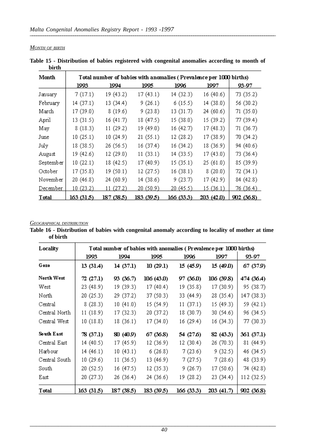*MONTH OF BIRTH*

| Month         |           | Total number of babies with anomalies (Prevalence per 1000 births) |                   |                  |           |           |
|---------------|-----------|--------------------------------------------------------------------|-------------------|------------------|-----------|-----------|
|               | 1993      | 1994                                                               | 1995              | 1996             | 1997      | 93-97     |
| January       | 7(17.1)   | 19 (43.2)                                                          | 17(43.1)          | 14 (32.3)        | 16(40.6)  | 73 (35.2) |
| February      | 14(37.1)  | 13(34.4)                                                           | 9(26.1)           | 6(15.5)          | 14(38.0)  | 56 (30.2) |
| March         | 17 (39.0) | 8(19.6)                                                            | 9(23.8)           | 13(31.7)         | 24(60.6)  | 71(35.0)  |
| April         | 13(31.5)  | 16(41.7)                                                           | 18 (47.5)         | 15(38.0)         | 15(39.2)  | 77(39.4)  |
| May           | 8(18.3)   | 11(29.2)                                                           | 19 (49.0)         | 16(42.7)         | 17(48.3)  | 71 (36.7) |
| June          | 10(25.1)  | 10(24.9)                                                           | 21(55.1)          | 12(28.2)         | 17(38.9)  | 70 (34.2) |
| July          | 18 (38.5) | 26 (56.5)                                                          | 16 (37.4)         | 16(34.2)         | 18(36.9)  | 94 (40.6) |
| August        | 19 (42.6) | 12(29.0)                                                           | 11(33.1)          | 14(33.5)         | 17(43.0)  | 73 (36.4) |
| September     | 10(22.1)  | 18 (42.5)                                                          | 17 (40.9)         | 15(35.1)         | 25(61.0)  | 85 (39.9) |
| October       | 17(35.8)  | 19(50.1)                                                           | 12 (27.5)         | 16(38.1)         | 8(20.0)   | 72(34.1)  |
| November      | 20 (46.8) | 24 (60.9)                                                          | 14 (38.6)         | 9(23.7)          | 17(42.9)  | 84 (42.8) |
| December      | 10(23.2)  | 11(27.2)                                                           | 20 (50.9)         | <u>20 (45.5)</u> | 15(36.1)  | 76(36.4)  |
| <b>T</b> otal | 163(31.5) | 187 (38.5)                                                         | <u>183 (39.5)</u> | 166 (33.3)       | 203(42.0) | 902(36.8) |

**Table 15 - Distribution of babies registered with congenital anomalies according to month of birth** <u> 1980 - Johann Barn, mars ar breist fan de Amerikaanske kommunister (</u>

#### *GEOGRAPHICAL DISTRIBUTION*

**Table 16 - Distribution of babies with congenital anomaly according to locality of mother at time of birth**

| Locality      |           | Total number of babies with anomalies (Prevalence per 1000 births) |            |            |            |            |
|---------------|-----------|--------------------------------------------------------------------|------------|------------|------------|------------|
|               | 1993      | 1994                                                               | 1995       | 1996       | 1997       | 93-97      |
| Gozo          | 13(31.4)  | 14(37.1)                                                           | 10(29.1)   | 15 (45.9)  | 15(49.0)   | 67 (37.9)  |
| North West    | 72(27.1)  | 93 (36.7)                                                          | 106 (43.0) | 97 (36.0)  | 106 (39.8) | 474 (36.4) |
| West          | 23 (48.9) | 19 (39.3)                                                          | 17(40.4)   | 19 (35.8)  | 17(30.9)   | 95 (38.7)  |
| North         | 20(25.3)  | 29 (37.2)                                                          | 37 (50.3)  | 33 (44.9)  | 28 (35.4)  | 147 (38.3) |
| Central       | 8(28.3)   | 10(41.0)                                                           | 15 (54.9)  | 11(37.1)   | 15 (49.3)  | 59 (42.1)  |
| Central North | 11(18.9)  | 17(32.3)                                                           | 20 (37.2)  | 18(30.7)   | 30 (54.6)  | 96 (34.5)  |
| Central West  | 10(18.8)  | 18(36.1)                                                           | 17(34.0)   | 16(29.4)   | 16(34.3)   | 77(30.3)   |
| South East    | 78 (37.1) | 80 (40.9)                                                          | 67 (36.8)  | 54 (27.6)  | 82 (43.3)  | 361 (37.1) |
| Central East  | 14(40.5)  | 17 (45.9)                                                          | 12 (36.9)  | 12 (30.4)  | 26 (70.3)  | 81 (44.9)  |
| Harbour       | 14(46.1)  | 10(43.1)                                                           | 6(26.8)    | 7(23.6)    | 9(32.5)    | 46 (34.5)  |
| Central South | 10(29.6)  | 11(36.5)                                                           | 13 (46.9)  | 7(27.5)    | 7(28.6)    | 48 (33.9)  |
| South         | 20(52.5)  | 16 (47.5)                                                          | 12 (35.3)  | 9(26.7)    | 17(50.6)   | 74 (42.8)  |
| East          | 20(27.3)  | 26 (36.4)                                                          | 24 (36.6)  | 19 (28.2)  | 23 (34.4)  | 112 (32.5) |
| <b>T</b> otal | 163(31.5) | 187 (38.5)                                                         | 183 (39.5) | 166 (33.3) | 203 (41.7) | 902 (36.8) |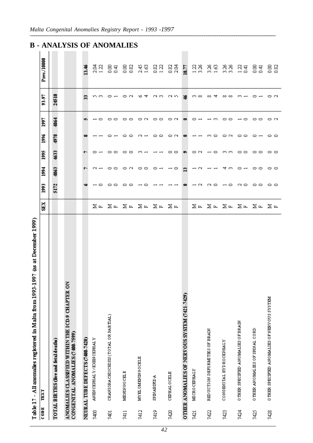|                  | at December 1999)<br>J<br>$-1997$<br>Table 17 - All anomalies registered in Malta from 1993 |                  |                               |                          |                   |                 |      |                 |                |
|------------------|---------------------------------------------------------------------------------------------|------------------|-------------------------------|--------------------------|-------------------|-----------------|------|-----------------|----------------|
| $\frac{1}{2000}$ | TEXT                                                                                        | SEX.             | ggq                           | <b>Ball</b>              | 1995              | 1996            | 1997 | 93-97           | Prev./10000    |
|                  | TOTAL BIRTHS (live and fetal deaths)                                                        |                  | 5172                          | 4863                     | 4633              | 4978            | 4864 | 24510           |                |
|                  | š<br>ANOMALIES CLASSIFIED WITHIN THE ICD.9 CHAPTER<br>CONGENITAL ANOMALIES (7400-7599)      |                  |                               |                          |                   |                 |      |                 |                |
|                  | NEURAL TUBE DEFECTS (7400-7420)                                                             |                  |                               | r-                       |                   |                 | v.   | $\mathbf{z}$    | 13.46          |
| 7400             | <b>ANEW CEPHALY / ENEW CEPHALY</b>                                                          |                  |                               |                          | $\circ$ $\lnot$   |                 |      | ഗത              | 음<br>21        |
| 7401             | CRANIORA CHISCHISIS (TOTAL OR PARTIAL)                                                      |                  | 00                            | $\sim$ $ \sim$ $\sim$    | $\circ$ $\circ$   |                 |      |                 | 8 सु           |
| 7411             | <b>MENINGO CELE</b>                                                                         |                  | $\circ$ $\circ$               | on oo                    | $\circ$ $\circ$   |                 | --   | οN              | 88<br>0.82     |
| 7412             | MYEL OMENING OCELE                                                                          |                  | $\overline{ }$ $\overline{ }$ |                          | ന ⊶               | $\sim$ $-$      | oΝ   | ৩ ব             | $2.45$<br>1.63 |
| 7419             | <b>A GEIRDA</b>                                                                             |                  |                               | $\circ$ $\sim$           |                   | 00              | 00   |                 | 88<br>13       |
| 7420             | <b>CEPHALOCELE</b>                                                                          | 网牙 网牙 网牙 网牙 网牙一个 |                               | $\overline{a}$           | $\circ$ $\circ$   | ΘN              | oΝ   | റാന റാന ജ       | 82<br>2.84     |
|                  | OTHER ANOMALIES OF NERVOUS SYSTEM (7421-7429)                                               |                  | $\bullet$                     | $\mathbf{r}$             | $\bullet$         | $\bullet$       | ∞    |                 | 18.77          |
| 7421             | MICROCEPHALY                                                                                |                  | $\rightarrow \infty$          | $\overline{\phantom{0}}$ |                   |                 | ⊂ ⊣  | ന ∞             | 128            |
| 7422             | REDUCTION DEFORMATES OF BRAIN                                                               |                  |                               |                          |                   | ന ⊂             | ന    | ০০ ব            | 3.82           |
| 7423             | CONGENITAL HYDROCEPHALY                                                                     |                  |                               | ব প                      |                   | oΝ              |      | ∞∞              | ನನೆ<br>ಸನ      |
| 7424             | OTHER SPECIFIED ANOMALIES OF BRAIN                                                          | 医耳 医耳 医耳 医耳 医耳风  | NO HO NO OO OO                |                          | ON 40 MM 00 00 00 | $\circ$ $\circ$ | ⊸ ⇔  | $m \rightarrow$ | <u>ਸੂਬ</u>     |
| 7425             | OTHER ANOMALIES OF SPINAL CORD                                                              |                  |                               |                          |                   | $\circ$ $\sim$  | 00   |                 | ਉੱਚੋਂ          |
| 7428             | OTHER SPECIFIED ANOMALIES OF NERVOUS SYSTEM                                                 |                  |                               |                          |                   | - 00            | οN   | $\circ$ $\circ$ | 88             |

### **B-ANALYSIS OF ANOMALIES**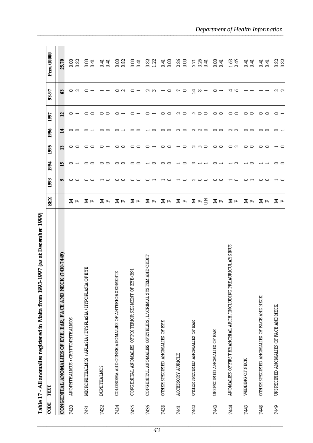| <b>START 2016</b> | Š<br>j<br>r efter man war in de ferste trock<br>when the main case of the case<br>ì |     |         |        |          |                   |        |        |                     |
|-------------------|-------------------------------------------------------------------------------------|-----|---------|--------|----------|-------------------|--------|--------|---------------------|
| CODE              | TEXT                                                                                | SEX | 1993    | 1994   | 1995     | 1996              | 1997   | 93-97  | Prev./10000         |
|                   | CONGENTAL ANOMALIES OF EYE, EAR, FACE AND NECK (7430-7449)                          |     | o,      | Ě      | Ë        | 그                 | 2      | ន      | 25.70               |
| 7430              | ANOPHTHALMUS / CRYPTOPHTHALMOS                                                      | ⊠ ⊭ | ▭<br>▭  |        | ▭<br>∘   | --                |        |        | $\frac{8}{5}$<br>8  |
| 7431              | MICROFITHALMOS / APLASIA / DYSH.ASIA / HYPOH.ASIA OF EYE                            | ⊠ ⊭ | 0.<br>▭ | 0<br>▭ | 0<br>▭   | 0                 |        |        | ਭ ਤ                 |
| 7432              | <b>BUPHTHALMOS</b>                                                                  | ⊠ ⊭ | ∊       | ▭      | ▭        | ▭                 |        |        | ਤੁੱਤੂ               |
| 7434              | COLOBOMA AND OTHER ANOMALIES OF ANTERIOR SEGMENTS                                   | ⊠д  | ▭<br>▭  | ▭<br>▭ | ▭<br>▭   |                   |        |        | 88<br>0.82          |
| 7435              | CONGENITAL ANOMALIES OF POSITERIOR SEGMENT OF EYE-B91                               | ⊠д  | ▭<br>▭  | ▭<br>▭ | ▭<br>▭   | ▭<br>▭            |        |        | 85<br>0.41          |
| 7436              | CONGENITAL ANOMALIES OF EYELIDS, LACEIMAL SYSTEM AND ORBIT                          | ⊠д  |         | ▭      | ▭        | ▭                 |        | N      | 0.82<br>1.22        |
| 7438              | OTHER SPECIFIED ANOMALIES OF EYE                                                    | ∑ ⊭ |         | ⊂      | ▭<br>⊂   | 0<br>▭            |        | ▭      | $\frac{8}{2}$<br>डू |
| 7441              | ACCESSORY AURICLE                                                                   | ⊠д  |         |        | ▭        | $\sim$<br>$\circ$ | ∊      |        | 2.86<br>8           |
| 742               | OTHER SPECIFIED ANOMALIES OF EAR                                                    | 医中苔 | ▭<br>▭  |        | CN.<br>▭ | ם מ               | ∊<br>▭ | 그<br>∞ | ភូងមួ<br>គេងមួ      |
| 7443              | UNSPECIFIED ANOMALIES OF EAR                                                        | ⊠д  | ▭<br>▭  |        | 0<br>∘   | 0<br>$\circ$      | ▭<br>▭ |        | 85<br>0.41          |
| 744               | ANOMALIES OF FIEST BRANCHIAL ARCH / INCLUDING PREAURICULAR SINUS                    | ⊠д  | ▭       |        | 0<br>N   | N<br>$\sim$       | ▭<br>▭ | ∿      | $1.63$<br>2.45      |
| 7445              | WEBBING OF NECK                                                                     | ⊠ ⊭ |         | ▭      | 00       | 00                | ▭<br>▭ |        | ਚ ਚ<br>੦ ੦          |
| 748               | OTHER SPECIFIED ANOMALIES OF FACE AND NECK                                          | 医中  | 0<br>▭  |        | --       | --                | 0<br>▭ |        | ਬੁ<br>ਬੁ            |
| 7449              | UNSPECIFIED ANOMALIES OF FACE AND NECK                                              | ∑ ⊭ |         | ▭      | ⊂        | ▭                 |        |        | 8<br>8<br>8<br>8    |

Table 17 - All anomalies registered in Malta from 1993-1997 (as at December 1999)

### Department of Health Information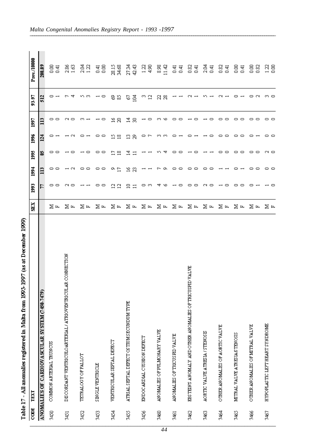Table 17 - All anomalies registered in Malta from 1993-1997 (as at December 1999)

| CODE | TEXT                                                      | SEX               | <b>B</b> | 1994                          | 1995        | 1996           | 1997    | 93-97        | Prev./10000                                 |
|------|-----------------------------------------------------------|-------------------|----------|-------------------------------|-------------|----------------|---------|--------------|---------------------------------------------|
|      | ANOMALIES OF CARDIOVASCULAR SYSTEM (7450-7479)            |                   | F        |                               | S,          | $\mathbf{z}$   |         | 512          | 208.89                                      |
| 7450 | COMMON ARTERIAL TRUNCUS                                   | ⊠ ⊭               | 0        | 00                            | 0           | ∘              | 0       |              | 8 सु<br>ड                                   |
| 7451 | DISCORDANT VENTRICULOARTERIAL/ATRIOVENTRICULAR CONNECTION | ⊠д                |          | $\sim$                        |             |                |         |              | $\frac{2.86}{1.63}$                         |
| 7452 | TETRALOGY OF FALLOT                                       | ⊠ ⊭               |          | 00                            |             |                |         | n.           | $\begin{array}{c} 2.04 \\ 1.22 \end{array}$ |
| 7453 | <b>SINGLE VENTRICLE</b>                                   | ⊠д                | ▭        | $\circ$ $\circ$               | ▭<br>0      | ▭              |         | ∘            | 품<br>0.00                                   |
| 7454 | VENTRICULAR SEFTAL DEFECT                                 | ⊠д                | ⊴<br>្ម  | o<br>£,                       | Ξ<br>≌      | ష<br>$\approx$ | 51<br>g | ప<br>8       | 28.15<br>34.68                              |
| 7455 | ATRIAL SEPTAL DEFECT OSTIUM SECUNDUM TYPE                 | ⊠<br>$\mathbf{F}$ | ≘        | $\widetilde{\mathbb{Z}}$<br>g | 그<br>$\Box$ | a.<br>8        | 궄<br>8  | e<br>홀       | 27.34<br>42.43                              |
| 7456 | ENDOCARDIAL CUSHION DEFECT                                | ⊠<br>$\mathbf{H}$ |          |                               |             |                |         | $\mathbf{r}$ | $\begin{array}{c} 1.23 \\ 4.90 \end{array}$ |
| 7460 | ANOMALIES OF PULMONARY VALVE                              | Σ<br>$\mathbf{L}$ |          |                               |             | m.<br>m        |         | 8<br>g       | 8.98<br>11.42                               |
| 7461 | ANOMALIES OF TRICUS HID VALVE                             | ⊠<br>$\mathbf{F}$ |          | ▭                             |             |                |         |              | तु<br>ਬੁ                                    |
| 7462 | EESTEIN'S ANOMALY AND OTHER ANOMALIES OF TRICUSPID VALVE  | ⊠<br>$\mathbf{F}$ |          | ▭                             |             |                |         |              | 0.82<br>0.41                                |
| 7463 | AORTIC VALVE ATRESIA / STENOSE                            | ⊠<br>叫            |          |                               |             |                |         |              | 2.04<br>통                                   |
| 7464 | OTHER ANOMALIES OF ACRITIC VALVE                          | ⊠ ⊭               |          |                               |             | ▭<br>▭         |         |              | 82<br>8.स                                   |
| 7465 | MITRAL VALVE ATRESIA STENOSIS                             | ⊠<br>$\mathbf{F}$ |          |                               |             | 0<br>▭         |         |              | 85<br>29                                    |
| 7466 | OTHER ANOMALIES OF MITRAL VALVE                           | ⊠ ⊭               |          | ▭                             | ▭           |                |         | ▭<br>$\sim$  | 8<br>8                                      |
| 7467 | HYPOPLAS TIC LEFT HEART SYNDROME                          | ⊠ ⊭               |          | 0 ⊂                           | N o         | --             | - -     | ന ⊂          | $\frac{23}{28}$                             |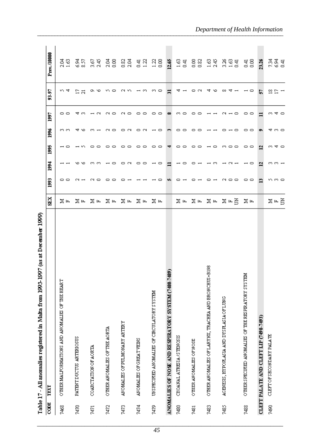|      | is st<br><b>Light</b> River<br>đ<br>sp) /<br>ceer more work in naasta remmining my - / r ander |      |                 |            |       |       |           |       |                                             |
|------|------------------------------------------------------------------------------------------------|------|-----------------|------------|-------|-------|-----------|-------|---------------------------------------------|
| CODE | TEXT                                                                                           | SEX  | 993             | <b>Bal</b> | 1995  | 1996  | 500       | 93-97 | Prev./10000                                 |
| 7468 | OTHER MALFORMATIONS AND ANOMALIES OF THE HEART                                                 | ⊠ ⊭  |                 |            |       | ლო ლ  | 00        | ৩ ব   | ಕ್ಷಣ<br>ನವ                                  |
| 7470 | PATENT DUCTUS ARTERIOSUS                                                                       | ⊠ ⊭  |                 |            |       |       |           | ង ដ   | ತ್ತವೆ<br>ಹಿ                                 |
| 7471 | COARCTATION OF AORTA                                                                           | 医四   |                 |            |       |       |           | o     |                                             |
| 7472 | OTHER ANOMALIES OF THE AORTA                                                                   | ⊠ ⊭  |                 |            |       |       |           |       |                                             |
| 7473 | ANOMALIES OF PULMONARY ARTERY                                                                  | 医中   |                 |            |       |       |           |       | <b>GR 38 83 53 83</b>                       |
| 7474 | ANOMALIES OF GREAT VEINS                                                                       | ⊠ ⊶  |                 | 0<br>▭     | ∊     |       |           |       |                                             |
| 7479 | UNSPECIFIED ANOMALIES OF CIECULATORY SYSTEM                                                    | ⊠ ⊭  |                 | ∘          | ⊸     |       | ▭<br>≘    |       |                                             |
|      | 7489)<br>ANOMALIES OF NOSE AND RESPIRATORY SYSTEM (7480                                        |      |                 |            |       | œ     | $\bullet$ | Ξ     | 12.65                                       |
| 7480 | CHOANAL ATRESIA /STENOSIS                                                                      | ⊠ ⊭  |                 |            |       |       | m         |       | $\begin{array}{c} 1.63 \\ 0.41 \end{array}$ |
| 7481 | OTHER ANOMALIES OF NOSE                                                                        | ⊠ ⊭  |                 |            |       |       |           |       |                                             |
| 7483 | OTHER ANOMALIES OF LARYNX, TRACHEA AND BRONCHUS+B198                                           | ⊠ ⊭  |                 |            |       |       |           |       |                                             |
| 7485 | AGENESIS, HYPOFLASIA AND DYSFLASIA OF LUNG                                                     | ¤ ਸ≊ | $\circ$ $\circ$ |            | m 0 0 |       |           |       | es as gan                                   |
| 7488 | OTHER SPECIFIED ANOMALIES OF THE RESPIRATORY SYSTEM                                            | ⊠д   | 00              |            | --    |       |           |       | 0.41                                        |
|      | CLEFT PALATE AND CLEFT LIP (7490-7493)                                                         |      | Ö,              | 으          | 으     |       | Ξ         | 5     | 23.26                                       |
| 7490 | CLEFT OF SECONDARY PALATE                                                                      | 医中苔  | ທຕ໐             | ოო—        | ی ⊅ ب | ਚ ෆ ⊂ | ∾.        | ≌     | ਲ੍ਹੇ ਬ੍ਰ                                    |

registered in Malta from 1003-1007 (as at December 1000). All anomalies Table 17-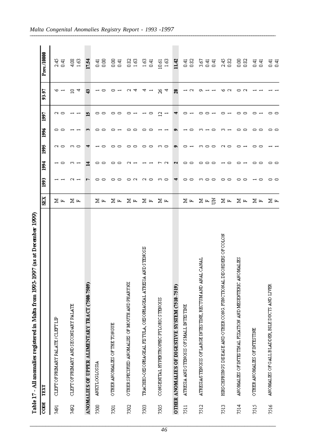| CODE             | TEXT                                                                | SEX   | 1993         | 1994   | 1995         | 1996         | 1997     | 93-97        | Prev./10000                                  |
|------------------|---------------------------------------------------------------------|-------|--------------|--------|--------------|--------------|----------|--------------|----------------------------------------------|
| 7491             | CLEFT OF PRIMARY PALATE/CLEFT LE                                    | ⊠ ⊭   |              |        | N ∞          | 0<br>▭       | CN.<br>▭ | ७            | २.४<br>०. म                                  |
| 7492             | CLEFT OF PEIMARY AND SECONDARY PALATE                               | ⊠ ⊭   | $\sim$ $-$   | ന ⊶    | ო ი          |              |          | 4<br>≘       | $\begin{array}{c} 4.63 \\ -1.63 \end{array}$ |
|                  | ANOMALIES OF UPPER ALIMENTARY TRACT (7500-7509)                     |       |              | ₹      |              |              | D        |              | 17.54                                        |
| 7500             | <b>ANKYLOGLOSSIA</b>                                                | ⊠ ⊭   | ▭<br>∘       | ▭      | ⊂            |              | 0<br>∘   |              | 풍용                                           |
| $\overline{501}$ | OTHER ANOMALIES OF THE TONGUE                                       | ⊠ ⊭   | 0<br>∘       | ⊂      | ▭<br>▭       |              | ▭<br>0   |              | 8 ਤੋਂ                                        |
| 200              | OTHER SPECIFIED ANOMALIES OF MOUTH AND PHARYNX                      | ⊠д    | oα           |        | ▭<br>▭       | ▭            | 0        |              | 88<br>18                                     |
| 7503             | TRACHEO-OESOFHAGEAL FESTULA, OESOFHAGEAL ATRESIA AND STENOSE        | ⊠ ⊭   | N<br>▭       |        | 0<br>▭       | ▭            | 0        |              | <u>ुव</u>                                    |
| 7505             | CONGENITAL HYPERTROPHIC PYLORIC STENOSIS                            | ⊠д    | ო ი          |        | m.<br>∘      |              | ≌        | S<br>4       | $\begin{array}{c} 10.61 \\ 1.63 \end{array}$ |
|                  | OTHER ANOMALIES OF DIGESTIVE SYSTEM (7510-7519)                     |       | ₹            | N      | o,           |              | ₹        | $\mathbf{a}$ | 11.42                                        |
| $\overline{2}$   | ATRESIA AND STENOSIS OF SMALL INTESTINE                             | ⊠ ⊭   | 0<br>$\circ$ | ▭      | ▭            |              |          |              | 5.82<br>0.82                                 |
| 7512             | ATRESIA/STENOSIS OF LARGE INTESTINE, RECTUMAND ANAL CANAL           | ጆෙ පි | ကဓဓ          |        | m.<br>▭<br>▭ |              | ∘<br>▭   |              | ធូមូ<br>គេថ                                  |
| 213              | HES CHPRUNGS DISEASE AND OTHER CONG. FUNCTION AL DISORDERS OF COLON | ⊠д    | ▭<br>$\circ$ |        | N<br>▭       |              | ∘        |              | 2.45<br>0.82                                 |
| 7514             | ANOMALIES OF INTESTINAL FIXATION AND MESENTERIC ANOMALIES           | ⊠ ⊭   | ▭<br>$\circ$ |        | ▭            | ▭<br>▭       | ▭<br>▭   |              | 88<br>0.82                                   |
| $\frac{25}{20}$  | OTHER ANOMALIES OF INTESTINE                                        | ⊠ ⊭   | ▭            | ▭<br>∘ | ▭<br>▭       | 0<br>$\circ$ | ▭        |              | ਚ ਚ<br>੦ ੦                                   |
| 7516             | ANOMALIES OF GALL BLADDER, BILE DUCTS AND LIVER                     | ∑ ⊬   | --           | - -    |              | - -          | - -      |              | ਚ ਚ<br>੦ ੦                                   |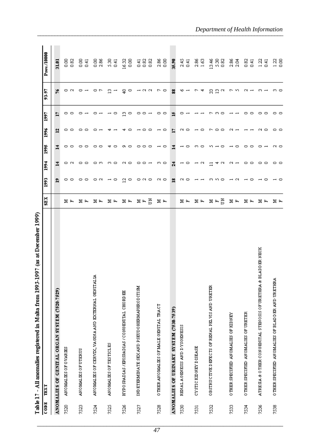| I                                     |
|---------------------------------------|
|                                       |
|                                       |
|                                       |
|                                       |
|                                       |
|                                       |
|                                       |
| I                                     |
|                                       |
|                                       |
|                                       |
| l                                     |
|                                       |
| l                                     |
| $\begin{array}{c} \hline \end{array}$ |
|                                       |
|                                       |
|                                       |
|                                       |
|                                       |
| $\begin{array}{c} \hline \end{array}$ |
| I                                     |
|                                       |
|                                       |
|                                       |
|                                       |
|                                       |
| I                                     |
|                                       |
| l                                     |
|                                       |
|                                       |
|                                       |
|                                       |
|                                       |
|                                       |
|                                       |
|                                       |
|                                       |
| j                                     |
|                                       |
|                                       |
| Ì                                     |
|                                       |
| ĺ                                     |
| I                                     |
|                                       |
|                                       |
|                                       |
|                                       |
|                                       |
| i                                     |
| ı<br>ı                                |
| ı                                     |
|                                       |
| ľ                                     |
| ı                                     |
| l                                     |
|                                       |
|                                       |
|                                       |
| ĺ<br>ı                                |

| <b>CODE</b> | TEXT                                                                   | SHEK      | 1993         | 1994            | 1995 | 1996   | 1997 | 93-97   | Prev./10000          |
|-------------|------------------------------------------------------------------------|-----------|--------------|-----------------|------|--------|------|---------|----------------------|
|             | ANOMALIES OF CENITAL ORGAN SYSTEM (7520-7529)                          |           | ّ≏           |                 | ₫    | ᅼ      |      | ۴       | 31.01                |
| 7520        | ANOMALES OF OVARIES                                                    | E.<br>بدآ | 0            | ೧೧              | 0    | 0      | 0    | 0       | 8<br>0.82            |
| 7523        | <b>ANOMALIES OF UTERUS</b>                                             | Ξ<br>匞    | 0<br>$\circ$ | $\circ$ $\circ$ |      | ∘      |      |         | 8.00<br>0.41         |
| 7524        | ₹<br>ANOMALIES OF CERVIX, VA GINA AND EXTERNAL GENITAL                 | בן ⊑      | ೧೧           | െറ              |      |        |      |         | $\frac{88}{28}$      |
| 7525        | ANOMALIES OF TESTICLES                                                 | 물 도       | ∘            | ന ⊂             |      |        |      | ∾.      | 5.31<br>0.41         |
| 7526        | HYPO SPADIAS / EPISPADIAS / CONGENITAL CHORD EE                        | Ξ<br>Ŀ,   | ₫<br>∘       | N □             |      |        |      | 음<br>∘  | $\frac{16.32}{0.00}$ |
| 7527        | IND ETERMINATE SEX AND PSEUDOHERMAPHRODITISM                           | 좀<br>MЕ   | ೧೧೧          | - ≎ 0           |      |        |      | ⊣∾<br>N |                      |
| 7528        | OTHER AN OMALIES OF MALE GENITAL TRACT                                 | 불법        | ∾ o          | က ဓာ            |      | ∘      |      | ∘<br>c  | $\frac{88}{0.00}$    |
|             | ANOMALIES OF URINARY SYSTEM (7530-7539)                                |           | ≌            | 겱               |      | ⊵      |      | 88      | 35.90                |
| 7530        | RENAL AGENESIS AND DYSGENESIS                                          | 冨<br>Ŀ,   | N            | $\circ$         |      | N<br>∘ |      | ∾       | $2.45$<br>0.41       |
| 7531        | CYSTICKIDNEY DISEASE                                                   | 冨<br>Ŀ,   |              | $\sim$          |      |        |      |         | $\frac{2.86}{1.63}$  |
| 7532        | OBSTRUCTIVE DEFECTS OF RENAL PELVIS AND URETER                         | š<br>불법   |              | ব ៧             |      | ∘      |      | ឌីដីធ   | $288$<br>2023        |
| 7533        | OTHER SPECIFIED ANOMALIES OF KIDNEY                                    | 불ਥ        |              | N               |      |        |      | n<br>ᠵ  | 2.86<br>2.04         |
| 7534        | OTHER SPECIFIED ANOMALIES OF URETER                                    | Ξ         |              | - -             |      |        |      | N       | 82<br>0.41           |
| 7536        | <b>BLADDER NECK</b><br>ATEESA & OTHER CONGENITAL STENOSIS OF URETHEA & | Ξ         |              | 0 O             |      | $\sim$ |      |         | $1.22$<br>0.41       |
| 7538        | O THER SPECIFIED AN OMALIES OF BLADDER AND URETHEA                     | 물 도       |              | 0 C             | N o  | - -    |      | ო ი     | $\frac{23}{20}$      |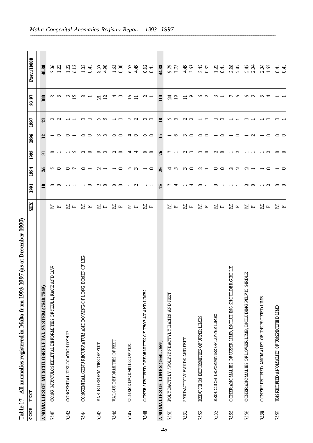| I      |
|--------|
|        |
|        |
|        |
| í      |
| l      |
| l      |
| I<br>j |
| I      |
| ļ<br>I |
|        |
|        |
| l      |
|        |
| Ì      |
|        |
| Ì      |
|        |
| i      |
| I      |
|        |
| i      |
| ı      |
| l      |
| Ì      |
|        |
| l      |
| ŀ<br>ı |

| CODE | TEXT                                                               | SEX | 1994<br>1993        | 1995                   | 1996   | 1997 | 93-97                     | Prev./10000            |
|------|--------------------------------------------------------------------|-----|---------------------|------------------------|--------|------|---------------------------|------------------------|
|      |                                                                    |     |                     |                        |        |      |                           |                        |
|      | ANOMALIES OF MUSCULOSKELETAL SYSTEM (7540-7549)                    |     | $\frac{1}{26}$<br>≘ | 5                      | 칰      | ដ    | 100                       | 40.80                  |
| 7540 | <b>MAT CINY</b><br>CONG. MUSCULOSKELETAL DEFORMITES OF SKULL, FACE | ∑ ⊾ |                     | ∽∼                     |        | CN.  | ∞ ന                       | 32<br>25               |
| 7543 | CONGENITAL DISLOCATION OF HIP                                      | ⊠ ⊭ |                     |                        |        |      | ന ഇ                       | $1.22$<br>6.12         |
| 7544 | BONES OF LEG<br>CONGENITAL GENURECURVATUM AND BOWING OF LONG       | ⊠ ⊭ |                     | N O                    |        |      | ന ⊶                       | ਬੋ ਚੁ                  |
| 7545 | VARUS DEFORMITES OF FEET                                           | 医四  |                     | o.<br>ന                | ო ო    |      | $\frac{1}{2}$             | 25<br>29               |
| 7546 | VALGUS DEFORMITIES OF FEET                                         | ⊠ ⊭ |                     | CJ.<br>∘               | 0      |      | ব                         | $\frac{3}{2}$ 8        |
| 7547 | OTHER DEFORMITIES OF FEET                                          | ⊠ ⊭ |                     | ਚ<br>ব                 | ব<br>▭ |      | $\widetilde{\mathcal{Z}}$ | S<br>दी<br>य           |
| 7548 | OTHER SPECIFIED DEFORMATIES OF THORAX AND LIMES                    | ⊠ ⊭ |                     | --<br>⊸ ∼              | --     |      | $\sim$ $-$                | 0.82<br>$\overline{4}$ |
|      | ANOMALIES OF LIMBS (7550-7559)                                     |     | X)<br>X,            | 嵩                      | ى      | ≌    | $\Xi$                     | 44.88                  |
| 7550 | POLYDACTYLY /POLYSYNDACTYLY HANDS AND FEET                         | ⊠ ⊭ |                     | ਚ ળ                    |        |      | ನೆ ಇ                      | 8.75                   |
| 7551 | SYNDACTYLY HANDS AND FEET                                          | ⊠ ⊭ |                     | ര ത<br>ო ი             |        |      |                           | ৰ্গ<br>বি              |
| 7552 | REDUCTION DEFORMITIES OF UPPER LIMES                               | ⊠ ⊭ |                     | ന ⊂<br>$\sim$ $-$      |        |      |                           | $\frac{45}{28}$        |
| 7553 | REDUCTION DEFORMITIES OF LOWER LIMES                               | ⊠ ⊭ |                     | N ∞<br>$\circ$ $\circ$ |        |      |                           | $\frac{23}{14}$        |
| 755  | OTHER ANOMALIES OF UFFER LIME, INCLUDING SHOULDER GIRDLE           | ⊠ ⊭ |                     | $\sim$<br>m.<br>$\sim$ |        |      |                           | $2.86$<br>2.45         |
| 7556 | <b>FICER</b><br>OTHER ANOMALIES OF LOWER LIME, INCLUDING PELVIC G  | ⊠ ⊭ |                     | N                      | $\sim$ |      |                           | 2.45<br>2.04           |
| 7558 | OTHER SPECIFIED ANOMALIES OF UNSPECIFIED LIMB                      | ⊠ ⊭ |                     | ∾                      |        |      |                           | 2.04<br>$\overline{3}$ |
| 7559 | UNSPECIFIED ANOMALIES OF UNSPECIFIED LIMB                          | ⊠ ⊭ | --                  | --                     | --     |      |                           | ਚ ਚ<br>੦ ੦             |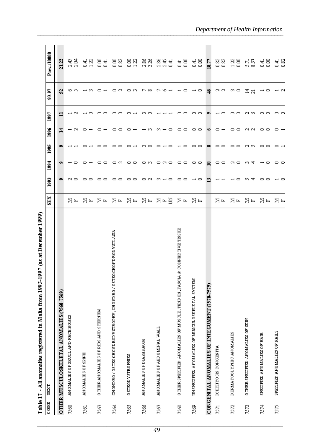|      | (as at December 1999)<br>1997<br>Table 17 - All anomalies registered in Malta from 1993 |            |                       |                 |      |            |        |                          |                             |
|------|-----------------------------------------------------------------------------------------|------------|-----------------------|-----------------|------|------------|--------|--------------------------|-----------------------------|
| CODE | TEXT                                                                                    | <b>SEX</b> | 993                   | 1994            | 5661 | <b>Bad</b> | 1997   | 93-97                    | Prev./10000                 |
|      | OTHER MUSCUL OSKELETAL ANOMALIES (7560-7569)                                            |            |                       |                 |      | ⊒          |        | S.                       | 21.22                       |
| 7560 | AN OMALIES OF SKULL AND FACE BONES                                                      | ⊠ ⊭        |                       |                 |      |            |        | ७                        | 2.45<br>2.04                |
| 7561 | <b>ANOMALIES OF SPINE</b>                                                               |            |                       |                 |      |            |        |                          |                             |
| 7563 | O THER AN OMALIES OF RIBS AND STERNUM                                                   | 医压 医压      |                       |                 |      |            |        |                          |                             |
| 7564 | CHOND RO / OSTEO CHOND ROD Y STROPHY, CHOND RO / OSTEO CHOND ROD Y SPLASIA              | 医压 医压      | ∘                     |                 |      |            |        |                          | 23 23 23 24 22              |
| 7565 | OSTEODY STROPHIES                                                                       |            |                       |                 |      |            |        |                          |                             |
| 7566 | ANOMALIES OF DIAPHRAGM                                                                  |            |                       | െറ              |      |            |        |                          |                             |
| 7567 | ANOMALIES OF ABD OMINAL WALL                                                            | 医内 医内唇     | 00.<br>$\overline{a}$ | ⇔ ಇಂ            |      |            |        |                          | ਲੀ ਚੀ<br>ਨਾਂ ਨਾਂ ਦ          |
| 7568 | O THER SPECIFIED AN OMALIES OF MUSCLE, TEND ON, FASCIA & CONNECTIVE TISSUE              | ⊠д         | 0<br>▭                | 0.<br>∘         |      |            |        |                          | $\frac{4}{5}$ $\frac{8}{5}$ |
| 7569 | UNSPECIFIED ANOMALIES OF MUSCULOSKELETAL SYSTEM                                         | 医耳         |                       | 00              | െറ   |            | ▭      |                          | 0.41                        |
|      | CONGENTAL ANOMALIES OF INTEGUMENT (7570-7579)                                           |            |                       | 9               |      |            |        |                          | 18.77                       |
| 7571 | <b>ICHTHYOSIS CONGENITA</b>                                                             | ⊠ ⊭        |                       | 0<br>∘          |      |            |        | ര ര                      | 82<br>0.82                  |
| 7572 | DERMATOGLYPHIC ANOMALIES                                                                | ⊠ ⊭        |                       | ∾ o             |      |            | ▭<br>▭ | 69.<br>∘                 | $\frac{23}{28}$             |
| 222  | OTHER SPECIFIED AN OMALIES OF SKIN                                                      | ⊠ ⊭        | ব                     | ল ব             |      |            | פי וא  | ್ಲ ಸ                     | ភូង មន្ត្រី<br>ដូង មន្ត្រី  |
| 7574 | SPECIFIED ANOMALIES OF HAIR                                                             | ⊠ ⊭        | 00                    | ⊸ ⇔             |      | 0          | 00     | $\overline{\phantom{0}}$ |                             |
| 7575 | SPECIFIED ANOMALIES OF NAILS                                                            | ⊠ ⊭        |                       | $\circ$ $\circ$ |      |            |        |                          | $\frac{4}{5}$ $\frac{8}{2}$ |

J. É <u>, בחחר בחחר</u> é Ė Ė Ę ı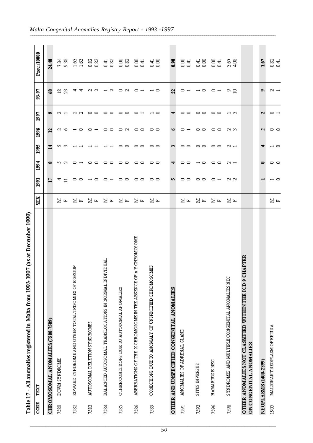| I<br>l<br>l           |
|-----------------------|
|                       |
| I                     |
|                       |
| I<br>ı<br>l<br>ı<br>l |
| ľ                     |
| l                     |
| Ì<br>֚֘֝              |
| l<br>í                |
| l<br>ı<br>ı           |
|                       |
| I<br>ĺ                |
|                       |

| CODE           | TEXT                                                                               | SEX | 5001         | <b>B61</b>                    | 3001         | 1996        | 500          | 93-97            | Prev./10000                      |
|----------------|------------------------------------------------------------------------------------|-----|--------------|-------------------------------|--------------|-------------|--------------|------------------|----------------------------------|
|                | CHROMOSOMAL ANOMALIES (7580-7589)                                                  |     | Þ            |                               | 츠            | ∾           |              | ន                | 24.48                            |
| 7580           | <b>DOWN SYNDROME</b>                                                               | ∑ ⊶ | ₫ ⊐          | ה מ                           | ო ო          | N           |              | ≌<br>g           | 경<br>9.38                        |
| 7582           | EDWARD SYNDROME AND OTHER TOTAL TRISOMES OF E GROUP                                | ∑ ⊭ | ▭<br>∘       | ▭                             |              |             |              | 4<br>ব           | $\mathbb{S}^2$<br>$\frac{63}{2}$ |
| 7583           | AUTOSOMAL DELETION SYNDROMES                                                       | ⊠ ⊭ | ▭            | ▭<br>0                        |              |             | 0<br>▭       | N<br>N           | 8<br>8                           |
| 7584           | BALANCED AUTOSOMAL TRANSLOCATIONS IN NORMAL INDIVIDUAL                             | ⊠ ⊭ |              | ▭<br>∘                        |              | ▭           | ▭<br>∘       | N                | 표<br>이용                          |
| 7585           | OTHER CONDITIONS DUE TO AUTOSOMAL ANOMALIES                                        | ⊠ ⊭ | 0<br>▭       | 0<br>▭                        | ▭<br>▭       | 0<br>$\sim$ | 0<br>▭       | 0<br>$\sim$      | 88                               |
| 7586           | Y CHROMOSOME<br>ABERBATIONS OF THE X CHROMOSOME IN THE ABSENCE OF A                | ⊠ ⊭ | 00           | 00                            | 00           | ▭<br>▭      | ▭            | ▭                | 85<br>85                         |
| 7589           | CONDITIONS DUE TO ANOMALY OF UNSPECIFIED CHROMOSOMES                               | ⊠ ⊭ | 00           | 00                            | 00           | ▭<br>▭      | ▭            | ∘                | 풍용                               |
|                | OTHER AND UNSPECIFIED CONGENITAL ANOMALIES                                         |     | w            | ₹                             | S            |             | ₹            | $\boldsymbol{z}$ | 8.98                             |
| 7591           | ANOMALIES OF ADRENAL GLAND                                                         | ⊠ ⊭ | 00           | 0<br>▭                        | 00           |             | 0<br>$\circ$ | 0                | $\frac{84}{5}$                   |
| 7593           | SITUS INVERSUS                                                                     | ⊠ ⊭ | 0<br>$\circ$ | ▭<br>$\overline{\phantom{0}}$ | 0<br>$\circ$ | ▭<br>0      | 0<br>$\circ$ | ▭                | $\frac{4}{5}$ $\frac{8}{5}$      |
| 396            | HAMARTOSES NEC                                                                     | ∑ ⊭ | ▭            | 00                            | 00           | 00          | 00           | $\circ$ $\lnot$  | ਭੁੱਝ                             |
| 7598           | SYNDROMES AND MULTIFLE CONGENITAL ANOMALIES NEC                                    | 医四  | ര ര          | $\sim$ $-$                    | $\sim$ $-$   | റെ          | ⊶ ო          | 으음               | ្តខ្ម<br>តែមី                    |
|                | OTHER ANOMALIES NOT CLASSIFIED WITHIN THE ICD-9 CHAPTER<br>ON CONGENITAL ANOMALIES |     |              |                               |              |             |              |                  |                                  |
|                | NE OPLASMS (1400-2399)                                                             |     |              | 0                             |              | N           | N            | o۱               | 3.67                             |
| $\frac{50}{2}$ | MALIGNANT NEOPLASM OF RETINA                                                       | ∑ ⊭ | $\circ$      | 0 0                           | ⊸ ⇔          | --          | ▭            | $\sim$ $-$       | 82<br>0.41                       |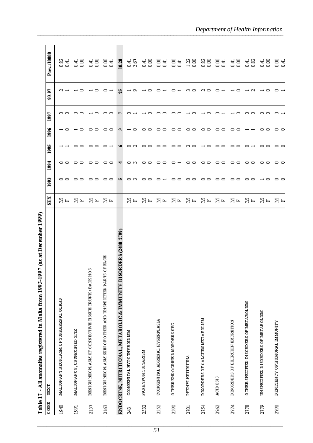|       | (as at December 1999)<br>Table 17 - All anomalies registered in Malta from 1993-1997 |     |     |                 |        |        |     |       |                        |
|-------|--------------------------------------------------------------------------------------|-----|-----|-----------------|--------|--------|-----|-------|------------------------|
| COD E | TEXT                                                                                 | SEX | 993 | <b>Bál</b>      | 3001   | 1996   | 500 | 93-97 | Prev./10000            |
| 1940  | MALIGNANT NEOPLASM OF SUPRARENAL GLAND                                               | ∑ ⊶ |     | 00              |        |        |     |       | 82<br>0.41             |
| 1991  | MALIGNANCY, UNSPECIFIED SITE                                                         | ⊠ ⊭ |     | 00              |        | ∘      |     |       | g<br>तु                |
| 2157  | BENIGN NEOPLASM OF CONNECTIVE TISSUE TRUNK/BACK NOS                                  | ⊠ ⊶ |     | ▭<br>∘          |        | ▭      |     |       | 8<br>नु                |
| 2163  | RTS OF FACE<br>BENIGN NEOPLASM SKIN OF OTHER AND UNSPECIFIED PA                      | ⊠ ⊭ |     | ▭<br>∘          |        |        |     |       | $\frac{8}{2}$<br>0,41  |
|       | DISORDERS (2400-2799)<br>ENDOCRINE, NUTRITIONAL, METABOLIC & IMMUNITY                |     |     |                 |        |        |     |       | 10.20                  |
| 243   | CONGENITAL HYPOTHYROIDISM                                                            | ⊠ ⊭ |     | ▭               |        |        |     |       | 3.67<br>$\frac{41}{2}$ |
| 2522  | PANHYPOPITUITARISM                                                                   | ⊠ ⊶ |     | ▭               |        |        |     |       | 8<br>ड                 |
| 2552  | CONGENITAL ADRENAL HYPERPLASIA                                                       | ⊠ ⊭ |     |                 |        |        |     |       | 8<br>$\frac{41}{5}$    |
| 2598  | O THER END O CRINE DISORDERS NEC                                                     | ⊠ ⊶ |     |                 | ▭      |        |     |       | 8<br>$\frac{41}{1}$    |
| 2701  | PHENYLKETUNURIA                                                                      | ⊠д  |     |                 | $\sim$ |        |     |       | $\frac{22}{2}$<br>8    |
| 2754  | DISORDERS OF CALCIUM METABOLISM                                                      | ⊠ ⊭ |     |                 |        |        |     |       | 83<br>$\frac{8}{2}$    |
| 2762  | ACID 0SIS                                                                            | ⊠ ⊭ |     | ∘               |        |        |     |       | 8<br>नु                |
| 2774  | DISORDERS OF BILIRUBIN EXCRETION                                                     | ⊠ ⊶ |     | 0<br>∘          |        |        |     |       | 8<br>$\frac{41}{1}$    |
| 2778  | OTHER SPECIFIED DISORDERS OF METABOLISM                                              | ⊠ ⊭ |     | 0<br>∘          |        |        |     |       | 83<br>नु               |
| 2779  | UN SPECIFIED DISORDERS OF METABOLISM                                                 | ⊠ ⊶ |     | 00              |        | 0<br>▭ |     |       | 8<br>न<br>0.41         |
| 2790  | DEFICIENCY OF HUMORAL BAMUNITY                                                       | ∑ ⊭ |     | $\circ$ $\circ$ |        | ▭      |     |       | 85<br>85               |

f Ė F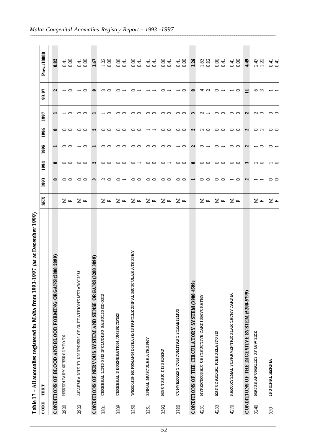| Table 17 | (as at December 1999)<br>500<br>- All anomalies registered in Malta from 1993-1! |      |                          |                          |            |        |       |                                 |
|----------|----------------------------------------------------------------------------------|------|--------------------------|--------------------------|------------|--------|-------|---------------------------------|
| CODE     | TEXT                                                                             | SEX. | <b>Bat</b><br><b>Sol</b> | 1995                     | <b>Bot</b> | 1997   | 93-97 | Prev./10000                     |
|          | CONDITIONS OF BLOOD AND BLOOD FORMING OR GANS (2800-2899)                        |      |                          |                          |            |        | N     | 0.82                            |
| 2820     | HEREDITARY SPHEROCYTOSIS                                                         | ⊠ ⊶  | --                       | 00                       |            |        |       | 8<br>न<br>0.41                  |
| 2822     | ă<br>AN AEMIA DUE TO DISORDEES OF GLUTATHIONE METABOLI                           | ⊠ ⊭  | 00<br>∊                  | $\overline{\phantom{0}}$ |            | ▭<br>▭ | ▭     | $\frac{8}{2}$<br>नु             |
|          | (5688-002)<br>CONDITIONS OF NERVOUS SYSTEM AND SENSE ORGANS (3                   |      | N                        |                          |            |        | c.    | 3.67                            |
| 3301     | CEREBRAL LIPIDOSIS INCLUDING GANGLIOSIDOSIS                                      | ⊠ ⊶  | 0<br>▭                   | 0<br>▭                   |            |        |       | $\frac{22}{2}$<br>8             |
| 309      | CEREBRAL DEGENERATION, UN SPECIFIED                                              | ⊠д   | ▭<br>∘                   | 0.<br>∘                  |            |        |       | 8<br>तु                         |
| 330      | WEED NIG HOFFMANN DISEA SE/INFANTILE SPINAL MUSCULAR A TROPHY                    | ⊠д   | ▭                        | 0<br>▭                   |            |        |       | 8<br>तु                         |
| 331      | SPINAL MUSCULARATROPHY                                                           | ⊠д   | ▭<br>▭                   | 00                       |            |        |       | त<br>0.41<br>तु                 |
| 3592     | MY O TONIC DISORDERS                                                             | ⊠д   | ▭                        | 0<br>▭                   |            |        |       | 8<br>तु                         |
| 3780     | CONVERGENT CONCOMITANT STRABISMUS                                                | ∑ ⊶  | ▭<br>▭<br>▭<br>∊         | ▭                        |            | ▭<br>▭ | ▭     | g<br>$\frac{41}{1}$             |
|          | CONDITIONS OF THE CIRCULATORY SYSTEM (3900-4599)                                 |      | 0                        | N                        |            |        | œ     | 3.26                            |
| 4251     | <b>HYPERTROPHIC OBSTRUCTIVE CARDIOMYOPATHY</b>                                   | ⊠ ⊭  | ▭<br>▭                   | ▭                        |            | Q      |       | $\frac{63}{2}$<br>82            |
| 4253     | END OCARDIAL FIBROELASTOSIS                                                      | ∑ ⊭  | ▭<br>∘                   | ▭                        |            | ▭      |       | 8<br>$\frac{41}{5}$             |
| 4270     | PARO XY SMAL SUPRA VENTRICULAR TACHY CARD IA                                     | ∑ ⊭  | --<br>▭                  | --                       |            | ▭<br>▭ | ▭     | $\frac{8}{2}$<br>$\frac{41}{5}$ |
|          | <b>CONDITIONS OF THE DIGESITVE SYSTEM (\$200-5799)</b>                           |      | c                        | N                        |            | N      |       | ą.                              |
| 5240     | MAJOR ANOMALIES OF JAW SIZE                                                      | ⊠ ⊭  | ∾ o                      | ▭                        | ▭          | ∾ o    | ७     | 2.45<br>122                     |
| 8        | INGUINAL HERNIA                                                                  | ⊠ ⊭  | ⊸ ∼<br>--                | 0                        | 0 ⊂        | 0 C    |       | ਚ ਚ<br>੦ ੦                      |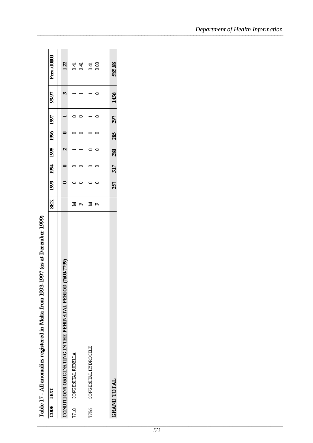Table 17 - All anomalies registered in Malta from 1993-1997 (as at December 1999)

| CODE TEXT                                                 | <b>NRS</b> |     | 1993 1994 | 1995 | 1996 1997 |     | 03.86 | Prev./10000                 |
|-----------------------------------------------------------|------------|-----|-----------|------|-----------|-----|-------|-----------------------------|
| 0.7799)<br>CONDITIONS ORIGINATING IN THE PERINATAL PERIOD |            |     |           |      |           |     |       | $\overline{2}$              |
| CONGENITAL RUBELLA<br>7710                                | z          |     |           |      |           |     |       |                             |
|                                                           | д          |     |           |      |           |     |       | नु स्                       |
| CONGENITAL HYDROCHLE<br>7786                              | z          |     |           |      |           |     |       | $\frac{4}{5}$ $\frac{8}{5}$ |
|                                                           | щ          |     |           |      |           |     |       |                             |
|                                                           |            |     |           |      |           |     |       |                             |
| <b>GRAND TOTAL</b>                                        |            | 257 | 317       | 280  | 285       | 297 | 1436  | 585.88                      |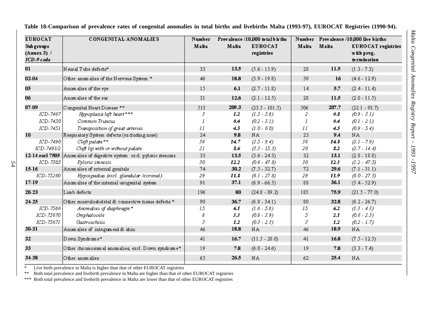| <b>EUROCAT</b>                            | <b>CONGENITAL ANOMALIES</b>                          | Number |             | Prevalence /10,000 to talbirths |       |                     | Number Prevalence /10,000 live births            |
|-------------------------------------------|------------------------------------------------------|--------|-------------|---------------------------------|-------|---------------------|--------------------------------------------------|
| Sub groups<br>$(Annex 3)$ /<br>ICD-9 code |                                                      | Malta  | Malta       | <b>EUROCAT</b><br>registries    | Malta | Malta               | EURO CAT registries<br>with preg.<br>termination |
| 01                                        | $\,$ N eural Tube defects $^*$                       | 33     | 13.5        | $(5.6 - 15.9)$                  | 28    | 11.5                | $(1.3 - 7.3)$                                    |
| 02-04                                     | Other anomalies of the Nervous System *              | 46     | 18.8        | $(3.9 - 19.8)$                  | 39    | 16                  | $(4.6 - 12.9)$                                   |
| 05                                        | Anomalies of the eye                                 | 15     | 6.1         | $(2.7 - 11.8)$                  | 14    | 5.7                 | $(2.4 - 11.4)$                                   |
| 06                                        | Anomalies of the ear                                 | 31     | 12.6        | $(2.1 - 12.5)$                  | 28    | 11.5                | $(2.0 - 11.5)$                                   |
| 07-09                                     | Congenital Heart Disease **                          | 513    | 209.3       | $(23.5 - 101.5)$                | 506   | 207.7               | $(22.1 - 93.7)$                                  |
| ICD-7467                                  | Hypoplasia left heart***                             | 3      | 1.2         | $(1.5 - 3.8)$                   | 2     | $\theta$ . $\theta$ | $(0.9 - 3.1)$                                    |
| ICD-7450                                  | Common Truncus                                       | J      | $\theta$ .4 | $(0.2 - 3.1)$                   | I     | $\theta$ .4         | $(0.1 - 2.1)$                                    |
| ICD-7451                                  | Transposition of great arteries                      | 11     | 4.5         | $(1.0 - 6.0)$                   | П     | 4.5                 | $(0.9 - 5.4)$                                    |
| 10                                        | Respiratory System defects (ex duding nose)          | 24     | 9.8         | NA                              | 23    | 9.4                 | NA                                               |
| ICD-7490                                  | Cleft palate**                                       | 36     | 14.7        | $(2.5 - 9.4)$                   | 36    | 148                 | $(2.1 - 7.9)$                                    |
| ICD-7491/2                                | Cleft lip with or without palate                     | 21     | 8.6         | $(3.3 - 15.3)$                  | 20    | 8.2                 | $(2.7 - 14.4)$                                   |
| 12-14 excl 7505                           | Anomalies of digestive system excl. pyloric stenosis | 33     | 13.5        | $(3.6 - 24.3)$                  | 32    | 13.1                | $(2.8 - 18.8)$                                   |
| ICD-7505                                  | Pyloric stenosis                                     | 30     | 12.2        | $(0.6 - 47.8)$                  | 30    | 12.3                | $(1.2 - 47.5)$                                   |
| $15-16$                                   | Anom alies of external genitals                      | 74     | 30.2        | $(7.5 - 32.7)$                  | 72    | 29.6                | $(7.1 - 31.1)$                                   |
| ICD-75260                                 | Hypospadias (excl. glandular /coronal)               | 29     | 11.8        | $(6.1 - 27.8)$                  | 29    | 11.9                | $(6.0 - 27.3)$                                   |
| 17-19                                     | Anom alies of the internal urogenital system         | 91     | 37.1        | $(6.9 - 66.5)$                  | 88    | 36.1                | $(5.4 - 52.9)$                                   |
| 20-23                                     | Limb defects                                         | 196    | 80          | $(24.8 - 89.2)$                 | 185   | 75.9                | $(21.5 - 77.0)$                                  |
| 24-25                                     | Other musculoskeletal & connective tissue defects *  | 90     | 36.7        | $(6.8 - 34.1)$                  | 80    | 32.8                | $(6.2 - 26.7)$                                   |
| ICD-7566                                  | Anomalies of diaphragm*                              | 15     | 6.1         | $(1.6 - 5.8)$                   | 15    | 6.2                 | $(1.3 - 4.3)$                                    |
| ICD-75670                                 | Omphalocele                                          | 8      | 3.3         | $(0.8 - 3.9)$                   | 5     | 2.1                 | $(0.6 - 2.3)$                                    |
| ICD-75671                                 | Gastroschisis                                        | 3      | 1.2         | $(0.3 - 2.3)$                   | 3     | 1.2                 | $(0.2 - 1.7)$                                    |
| 30-31                                     | Anomalies of integument & skin                       | 46     | 18.8        | NA                              | 46    | 18.9                | NA                                               |
| 32                                        | Down Syndrome*                                       | 41     | 16.7        | $(11.5 - 28.0)$                 | 41    | 16.8                | $(7.5 - 12.5)$                                   |
| 33                                        | Other chromosom al anomalies, excl. Down syndrome*   | 19     | 7.8         | $(6.0 - 24.6)$                  | 19    | 7.8                 | $(3.3 - 7.4)$                                    |
| 3438                                      | Other anomalies                                      | 65     | 26.5        | NA                              | 62    | 25.4                | NA                                               |

**Table 18-Comparison of prevalence rates of congenital anomalies in total births and livebirths Malta (1993-97), EUROCAT Registries (1990-94).**

\*\* Both total prevalence and livebirth prevalence in Malta are higher than that of other EUROCAT registries<br>\*\*\* Both total prevalence and livebirth prevalence in Malta are lower than that of other EUROCAT registries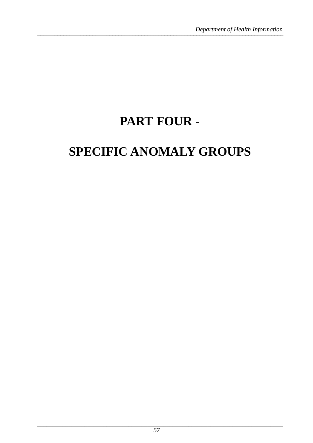# PART FOUR -

# **SPECIFIC ANOMALY GROUPS**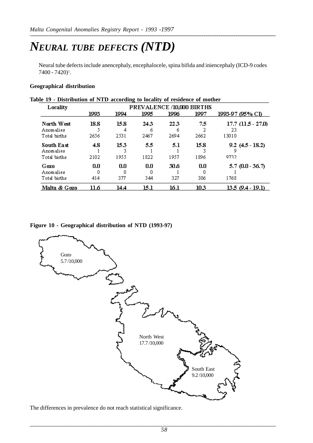## *NEURAL TUBE DEFECTS (NTD)*

Neural tube defects include anencephaly, encephalocele, spina bifida and iniencephaly (ICD-9 codes 7400 - 7420)<sup>1</sup>.

#### **Geographical distribution**

| Locality     |      |      | PREVALENCE /10,000 BIRTHS |      |      |                        |
|--------------|------|------|---------------------------|------|------|------------------------|
|              | 1993 | 1994 | 1995                      | 1996 | 1997 | 1993-97 (95% CI)       |
| North West   | 18.8 | 15.8 | 24.3                      | 22.3 | 7.5  | $17.7$ $(11.5 - 27.0)$ |
| Anomalies    |      | 4    | ň                         | ñ    |      | 23                     |
| Total births | 2656 | 2531 | 2467                      | 2694 | 2662 | 13010                  |
| South East   | 4.8  | 153  | 5.5                       | 5.1  | 15.8 | $9.2(4.5 - 18.2)$      |
| Anomalies    |      |      |                           |      |      |                        |
| Total births | 2102 | 1955 | 1822                      | 1957 | 1896 | 9732                   |
| Gozo         | 0.0  | 0.0  | 0.0                       | 30.6 | 0.0  | $5.7(0.0 - 36.7)$      |
| Anomalies    | 0    |      |                           |      |      |                        |
| Total births | 414  | 377  | 344                       | 327  | 306  | 1768                   |
| Malta & Gozo | 11.6 | 14.4 | 15.1                      | 16.1 | 10.3 | $13.5(9.4-19.1)$       |

#### **Table 19 - Distribution of NTD according to locality of residence of mother**

#### **Figure 10 - Geographical distribution of NTD (1993-97)**



The differences in prevalence do not reach statistical significance.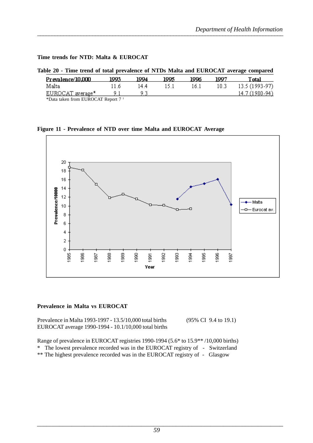#### **Time trends for NTD: Malta & EUROCAT**

#### **Table 20 - Time trend of total prevalence of NTDs Malta and EUROCAT average compared**

| Prevalence/10.000 | 1993 | 1004 | 1995 | 1996 | 1007  | Total          |
|-------------------|------|------|------|------|-------|----------------|
| Malta             | 11 h | 144  |      | 16.1 | 10.3. | 13.5 (1993-97) |
| EUROCAT average*  |      |      |      |      |       | 14.7 (1980-94) |
| T                 |      |      |      |      |       |                |

\*Data taken from EUROCAT Report 7 1

**Figure 11 - Prevalence of NTD over time Malta and EUROCAT Average**



#### **Prevalence in Malta vs EUROCAT**

Prevalence in Malta 1993-1997 - 13.5/10,000 total births (95% CI 9.4 to 19.1) EUROCAT average 1990-1994 - 10.1/10,000 total births

Range of prevalence in EUROCAT registries 1990-1994 (5.6\* to 15.9\*\* /10,000 births)

\* The lowest prevalence recorded was in the EUROCAT registry of - Switzerland

\*\* The highest prevalence recorded was in the EUROCAT registry of - Glasgow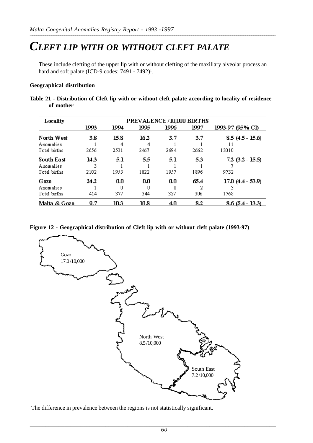### *CLEFT LIP WITH OR WITHOUT CLEFT PALATE*

These include clefting of the upper lip with or without clefting of the maxillary alveolar process an hard and soft palate (ICD-9 codes: 7491 - 7492)<sup>1</sup>.

#### **Geographical distribution**

**Table 21 - Distribution of Cleft lip with or without cleft palate according to locality of residence of mother**

| Locality                  | PREVALENCE/10,000 BIRTHS |           |             |      |      |                    |  |  |  |  |
|---------------------------|--------------------------|-----------|-------------|------|------|--------------------|--|--|--|--|
|                           | 1993                     | 1994      | 1995        | 1996 | 1997 | 1993-97 (95% CI)   |  |  |  |  |
| North West<br>Anomalies   | 3.8                      | 15.8<br>4 | 16.2<br>4   | 3.7  | 3.7  | $8.5(4.5 - 15.6)$  |  |  |  |  |
| Total births              | 2656                     | 2531      | 2467        | 2694 | 2662 | 13010              |  |  |  |  |
| <b>South East</b>         | 143                      | 5.1       | 5.5         | 5.1  | 5.3  | $7.2$ (3.2 - 15.5) |  |  |  |  |
| Anomalies<br>Total births | 3<br>2102                | 1955      | 1822        | 1957 | 1896 | 9732               |  |  |  |  |
| Gozo                      | 24.2                     | 0.0       | 0.0         | 0.0  | 65.4 | 17.0 (4.4 - 53.9)  |  |  |  |  |
| Anomalies<br>Total births | 414                      | 377       | Ω<br>344    | 327  | 306  | 1768               |  |  |  |  |
| Malta & Gozo              | 9.7                      | 10.3      | $\bf{10.8}$ | 4.0  | 8.2  | $8.6(5.4 - 13.3)$  |  |  |  |  |

#### **Figure 12 - Geographical distribution of Cleft lip with or without cleft palate (1993-97)**



The difference in prevalence between the regions is not statistically significant.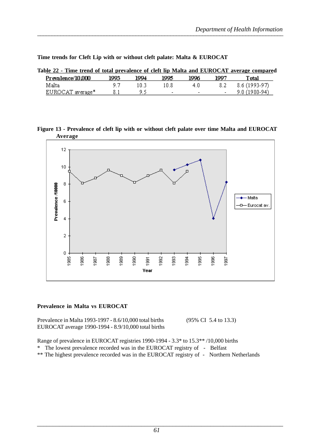| Table 22 - Time trend of total prevalence of cleft lip Malta and EUROCAT average compared |       |      |                          |                          |      |                |
|-------------------------------------------------------------------------------------------|-------|------|--------------------------|--------------------------|------|----------------|
| Prevalence/10,000                                                                         | 1993. | 1994 | 1995.                    | 1996                     | 1007 | Total          |
| Malta                                                                                     | 9 7   | 18 3 | 10.8                     | 4.0                      | 8.2  | 8.6 (1993-97)  |
| EUROCAT average*                                                                          |       | 9 S  | $\overline{\phantom{a}}$ | $\overline{\phantom{0}}$ |      | $9.0(1980-94)$ |

**Time trends for Cleft Lip with or without cleft palate: Malta & EUROCAT**

**Figure 13 - Prevalence of cleft lip with or without cleft palate over time Malta and EUROCAT Average**



#### **Prevalence in Malta vs EUROCAT**

Prevalence in Malta 1993-1997 - 8.6/10,000 total births (95% CI 5.4 to 13.3) EUROCAT average 1990-1994 - 8.9/10,000 total births

Range of prevalence in EUROCAT registries 1990-1994 - 3.3\* to 15.3\*\* /10,000 births \* The lowest prevalence recorded was in the EUROCAT registry of - Belfast

\*\* The highest prevalence recorded was in the EUROCAT registry of - Northern Netherlands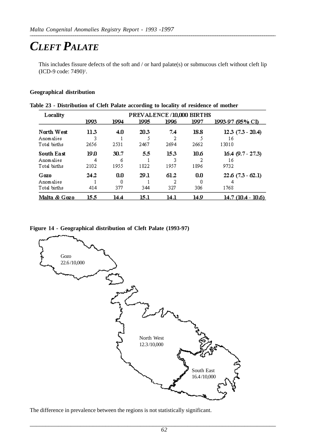## *CLEFT PALATE*

This includes fissure defects of the soft and / or hard palate(s) or submucous cleft without cleft lip (ICD-9 code: 7490)<sup>1</sup>.

#### **Geographical distribution**

| Locality     | PREVALENCE/10,000 BIRTHS |      |      |      |      |                       |  |  |  |  |  |
|--------------|--------------------------|------|------|------|------|-----------------------|--|--|--|--|--|
|              | 1993                     | 1994 | 1995 | 1996 | 1997 | 1993-97 (95% CI)      |  |  |  |  |  |
| North West   | 113                      | 4.0  | 20.3 | 7.4  | 18.8 | $12.3$ $(7.3 - 20.4)$ |  |  |  |  |  |
| Anomalies    |                          |      |      |      |      | 16                    |  |  |  |  |  |
| Total births | 2656                     | 2531 | 2467 | 2694 | 2662 | 13010                 |  |  |  |  |  |
| South East   | 19 N                     | 30.7 | 5.5  | 153  | 10.6 | $16.4$ (9.7 - 27.3)   |  |  |  |  |  |
| Anomalies    | 4                        | 6    |      |      |      | 16                    |  |  |  |  |  |
| Total births | 2102                     | 1955 | 1822 | 1957 | 1896 | 9732                  |  |  |  |  |  |
| Gozo         | 24.2                     | 0.0  | 29.1 | 61.2 | 0.0  | $22.6(7.3-62.1)$      |  |  |  |  |  |
| Anomalies    |                          | 0    |      |      |      |                       |  |  |  |  |  |
| Total births | 414                      | 377  | 344  | 327  | 306  | 1768                  |  |  |  |  |  |
| Malta & Gozo | 15.5                     | 14.4 | 15.1 | 14.1 | 14.9 | 14.7 (10.4 - 10.6)    |  |  |  |  |  |

|  | Table 23 - Distribution of Cleft Palate according to locality of residence of mother |  |  |  |  |
|--|--------------------------------------------------------------------------------------|--|--|--|--|
|  |                                                                                      |  |  |  |  |

#### **Figure 14 - Geographical distribution of Cleft Palate (1993-97)**



The difference in prevalence between the regions is not statistically significant.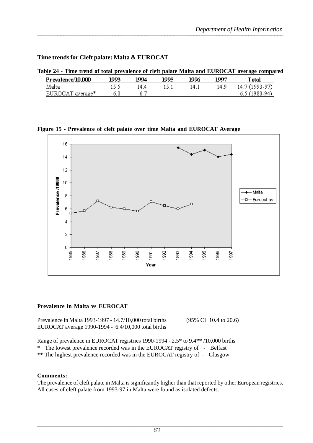#### **Time trends for Cleft palate: Malta & EUROCAT**

| Table 24 - Time trend of total prevalence of cleft palate Malta and EUROCAT average compared |       |      |       |      |      |                |  |
|----------------------------------------------------------------------------------------------|-------|------|-------|------|------|----------------|--|
| Prevalence/10,000                                                                            | 1993. | 1004 | 1995. | 1006 | 1007 | Total          |  |
| Malta                                                                                        | 15.5  | 14 4 | 15.1  | 14.1 | 14.9 | 14.7 (1993-97) |  |
| EUROCAT average*                                                                             | 6.0   |      |       |      |      | $6.5(1980-94)$ |  |

#### **Figure 15 - Prevalence of cleft palate over time Malta and EUROCAT Average**



#### **Prevalence in Malta vs EUROCAT**

Prevalence in Malta 1993-1997 - 14.7/10,000 total births (95% CI 10.4 to 20.6) EUROCAT average 1990-1994 - 6.4/10,000 total births

Range of prevalence in EUROCAT registries 1990-1994 - 2.5\* to 9.4\*\* /10,000 births

\* The lowest prevalence recorded was in the EUROCAT registry of - Belfast

\*\* The highest prevalence recorded was in the EUROCAT registry of - Glasgow

#### **Comments:**

The prevalence of cleft palate in Malta is significantly higher than that reported by other European registries. All cases of cleft palate from 1993-97 in Malta were found as isolated defects.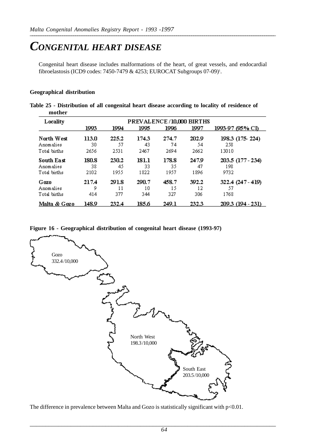### *CONGENITAL HEART DISEASE*

Congenital heart disease includes malformations of the heart, of great vessels, and endocardial fibroelastosis (ICD9 codes: 7450-7479 & 4253; EUROCAT Subgroups 07-09)<sup>1</sup>.

#### **Geographical distribution**

| Table 25 - Distribution of all congenital heart disease according to locality of residence of |  |  |
|-----------------------------------------------------------------------------------------------|--|--|
| mother                                                                                        |  |  |

| Locality     | PREVALENCE/10,000 BIRTHS |       |       |       |       |                   |  |  |
|--------------|--------------------------|-------|-------|-------|-------|-------------------|--|--|
|              | 1993                     | 1994  | 1995  | 1996  | 1997  | 1993-97 (95% CI)  |  |  |
| North West   | 113.0                    | 225.2 | 174.3 | 274.7 | 202.9 | 198.3 (175-224)   |  |  |
| Anomalies    | 30                       | 57    | 43    | 74    | 54    | 258               |  |  |
| Total births | 2656                     | 2531  | 2467  | 2694  | 2662  | 13010             |  |  |
| South East   | 180.8                    | 230.2 | 181.1 | 178.8 | 247.9 | 203.5 (177 - 234) |  |  |
| Anomalies    | 38                       | 45    | 33    | 35    | 47    | 198               |  |  |
| Total births | 2102                     | 1955  | 1822  | 1957  | 1896  | 9732              |  |  |
| Gozo         | 217.4                    | 291.8 | 290.7 | 458.7 | 392.2 | 322.4 (247 - 419) |  |  |
| Anomalies    | 9                        | 11    | 10    | 15    | 12    | 57                |  |  |
| Total births | 414                      | 377   | 344   | 327   | 306   | 1768              |  |  |
| Malta & Gozo | 148.9                    | 232.4 | 185.6 | 249.1 | 232.3 | 209.3 (194 - 231) |  |  |

**Figure 16 - Geographical distribution of congenital heart disease (1993-97)**



The difference in prevalence between Malta and Gozo is statistically significant with  $p<0.01$ .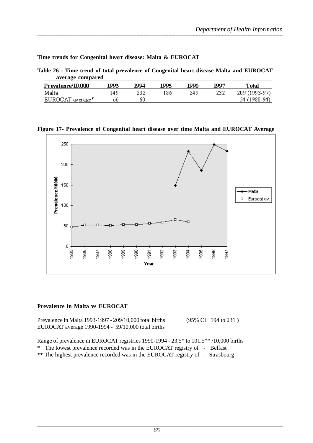**Time trends for Congenital heart disease: Malta & EUROCAT**

| Table 26 - Time trend of total prevalence of Congenital heart disease Malta and EUROCAT |  |  |
|-----------------------------------------------------------------------------------------|--|--|
| average compared                                                                        |  |  |

| Prevalence/10,000 | 1993 | 1994 | 1995 | 1996 | 1007 | Total         |
|-------------------|------|------|------|------|------|---------------|
| Malta             | 149  |      | 186  | 249  | 232  | 209 (1993-97) |
| EUROCAT average*  | 66   | 60   |      |      |      | 54 (1980-94)  |

#### **Figure 17- Prevalence of Congenital heart disease over time Malta and EUROCAT Average**



#### **Prevalence in Malta vs EUROCAT**

Prevalence in Malta 1993-1997 - 209/10,000 total births (95% CI 194 to 231 ) EUROCAT average 1990-1994 - 59/10,000 total births

Range of prevalence in EUROCAT registries 1990-1994 - 23.5\* to 101.5\*\* /10,000 births

\* The lowest prevalence recorded was in the EUROCAT registry of - Belfast

\*\* The highest prevalence recorded was in the EUROCAT registry of - Strasbourg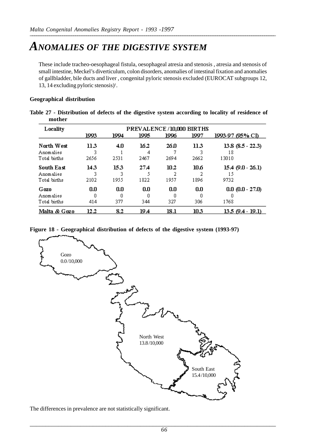### *ANOMALIES OF THE DIGESTIVE SYSTEM*

These include tracheo-oesophageal fistula, oesophageal atresia and stenosis , atresia and stenosis of small intestine, Meckel's diverticulum, colon disorders, anomalies of intestinal fixation and anomalies of gallbladder, bile ducts and liver , congenital pyloric stenosis excluded (EUROCAT subgroups 12, 13, 14 excluding pyloric stenosis)<sup>1</sup>.

#### **Geographical distribution**

| Table 27 - Distribution of defects of the digestive system according to locality of residence of |  |  |  |  |
|--------------------------------------------------------------------------------------------------|--|--|--|--|
| mother                                                                                           |  |  |  |  |

| Locality                                | PREVALENCE/10,000 BIRTHS |                  |                   |                 |                 |                                      |  |
|-----------------------------------------|--------------------------|------------------|-------------------|-----------------|-----------------|--------------------------------------|--|
|                                         | 1993                     | 1994             | 1995              | 1996            | 1997            | 1993-97 (95% CI)                     |  |
| North West<br>Anomalies<br>Total births | 11.3<br>2656             | 4.0<br>2531      | 16.2<br>4<br>2467 | 26.O<br>2694    | 113<br>2662     | $13.8$ $(8.5 - 22.3)$<br>18<br>13010 |  |
| South East<br>Anomalies<br>Total births | 143<br>3<br>2102         | 153<br>3<br>1955 | 27.4<br>1822      | 10.2<br>1957    | 10 6<br>1896    | 15.4 (9.0 - 26.1)<br>15<br>9732      |  |
| Gozo<br>Anomalies<br>Total births       | 0.0<br>Ω<br>414          | 0.0<br>Ω<br>377  | 0.0<br>0<br>344   | 0.0<br>n<br>327 | 0.0<br>Ω<br>306 | $0.0 (0.0 - 27.0)$<br>1768           |  |
| Malta & Gozo                            | 12.2                     | 8.2              | 19.4              | 18.1            | 10.3            | 13.5 (9.4 - 19.1)                    |  |

**Figure 18 - Geographical distribution of defects of the digestive system (1993-97)**



The differences in prevalence are not statistically significant.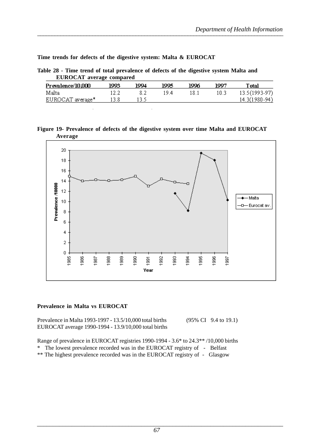**Time trends for defects of the digestive system: Malta & EUROCAT**

**Table 28 - Time trend of total prevalence of defects of the digestive system Malta and EUROCAT average compared**

| Prevalence/10,000 | 1993 | 1004 | 1995 | 1996 | 1007 | Total          |
|-------------------|------|------|------|------|------|----------------|
| Malta             |      |      | 19 4 | 18.1 | 10.3 | 13.5 (1993-97) |
| EUROCAT average*  |      |      |      |      |      | 14.3(1980-94)  |

**Figure 19- Prevalence of defects of the digestive system over time Malta and EUROCAT Average**



#### **Prevalence in Malta vs EUROCAT**

Prevalence in Malta 1993-1997 - 13.5/10,000 total births (95% CI 9.4 to 19.1) EUROCAT average 1990-1994 - 13.9/10,000 total births

Range of prevalence in EUROCAT registries 1990-1994 - 3.6\* to 24.3\*\* /10,000 births

\* The lowest prevalence recorded was in the EUROCAT registry of - Belfast

\*\* The highest prevalence recorded was in the EUROCAT registry of - Glasgow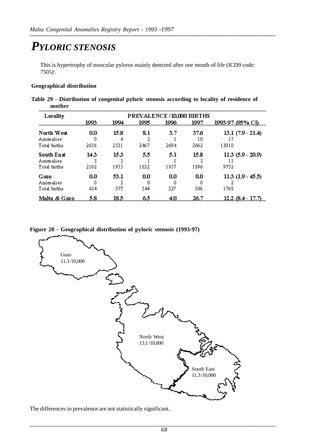## *PYLORIC STENOSIS*

This is hypertrophy of muscular pylorus mainly detected after one month of life (ICD9 code:  $7505$ <sup>1</sup>.

#### **Geographical distribution**

**Table 29 - Distribution of congenital pyloric stenosis according to locality of residence of mother**

| Locality                                | PREVALENCE/10,000 BIRTHS |                   |                  |             |                    |                                   |  |
|-----------------------------------------|--------------------------|-------------------|------------------|-------------|--------------------|-----------------------------------|--|
|                                         | 1993                     | 1994              | 1995             | 1996        | 1997               | 1993-97 (95% CI).                 |  |
| North West<br>Anomalies<br>Total births | 0.0<br>0<br>2656         | 15.8<br>4<br>2531 | 8.1<br>2<br>2467 | 3.7<br>2694 | 37.6<br>10<br>2662 | $13.1(7.9 - 21.4)$<br>13010       |  |
| South East<br>Anomalies<br>Total births | 14.3<br>3<br>2102        | 15.3<br>1955      | 5.5<br>1822      | 5.1<br>1957 | 15.8<br>1896       | $11.3$ (5.9 - 20.9)<br>11<br>9732 |  |
| Gozo<br>Anomalies<br>Total births       | 0.0<br>Ο<br>414          | 53.1<br>377       | 0.0<br>0<br>344  | 0.0<br>327  | 0.0<br>Ο<br>306    | $11.3$ $(1.9 - 45.5)$<br>1768     |  |
| Malta & Gozo                            | 5.8                      | 18.5              | 6.5              | 4.0         | 26.7               | $12.2$ (8.4 - 17.7)               |  |

**Figure 20 - Geographical distribution of pyloric stenosis (1993-97)**



The differences in prevalence are not statistically significant.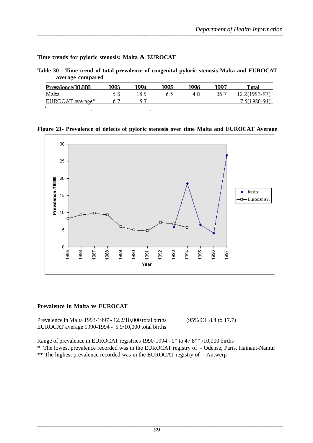**Time trends for pyloric stenosis: Malta & EUROCAT**

**Table 30 - Time trend of total prevalence of congenital pyloric stenosis Malta and EUROCAT average compared**

| Prevalence/10.000       | 1993 | 1994 | 1995 | 1996 | 1997 | Total          |
|-------------------------|------|------|------|------|------|----------------|
| Malta                   | 58   | 18.5 |      | 4.0  | 26.7 | 12.2(1993-97)  |
| <u>EUROCAT average*</u> | O.   |      |      |      |      | $7.5(1980-94)$ |
|                         |      |      |      |      |      |                |

**Figure 21- Prevalence of defects of pyloric stenosis over time Malta and EUROCAT Average**



#### **Prevalence in Malta vs EUROCAT**

Prevalence in Malta 1993-1997 - 12.2/10,000 total births (95% CI 8.4 to 17.7) EUROCAT average 1990-1994 - 5.9/10,000 total births

Range of prevalence in EUROCAT registries 1990-1994 - 0\* to 47.8\*\* /10,000 births

\* The lowest prevalence recorded was in the EUROCAT registry of - Odense, Paris, Hainaut-Namur

\*\* The highest prevalence recorded was in the EUROCAT registry of - Antwerp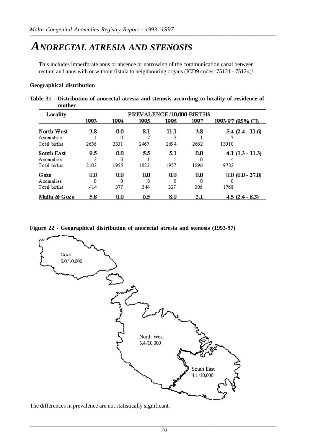### *ANORECTAL ATRESIA AND STENOSIS*

This includes imperforate anus or absence or narrowing of the communication canal between rectum and anus with or without fistula to neighbouring organs (ICD9 codes: 75121 - 75124)<sup>1</sup>.

#### **Geographical distribution**

**Table 31 - Distribution of anorectal atresia and stenosis according to locality of residence of mother**

| Locality                                | PREVALENCE/10,000 BIRTHS |                 |                  |              |             |                            |  |
|-----------------------------------------|--------------------------|-----------------|------------------|--------------|-------------|----------------------------|--|
|                                         | 1993                     | 1994            | 1995             | 1996         | 1997        | 1993-97 (95% CI)           |  |
| North West<br>Anomalies<br>Total births | 3.8<br>2656              | 0.0<br>2531     | 8.1<br>2<br>2467 | 11.1<br>2694 | 3.8<br>2662 | $5.4(2.4-11.6)$<br>13010   |  |
| South East<br>Anomalies<br>Total births | 9.5<br>2102              | 0.0<br>1955     | 5.5<br>1822      | 5.1<br>1957  | 0.0<br>1896 | $4.1(1.3 - 11.3)$<br>9732  |  |
| Gozo<br>Anomalies<br>Total births       | 0.0<br>0<br>414          | 0.0<br>n<br>377 | 0.0<br>۵<br>344  | 0.0<br>327   | 0.0<br>306  | $0.0 (0.0 - 27.0)$<br>1768 |  |
| Malta & Gozo                            | 5.8                      | 0.0             | 6.5              | 8.0          | 2.1         | $4.5(2.4 - 8.3)$           |  |

**Figure 22 - Geographical distribution of anorectal atresia and stenosis (1993-97)**



The differences in prevalence are not statistically significant.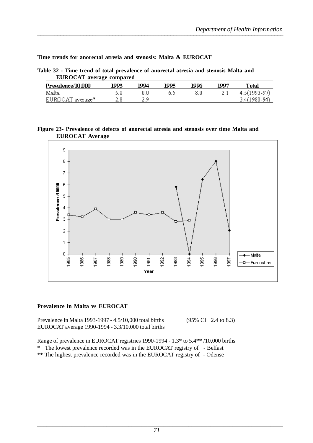**Time trends for anorectal atresia and stenosis: Malta & EUROCAT**

**Table 32 - Time trend of total prevalence of anorectal atresia and stenosis Malta and EUROCAT average compared**

| Prevalence/10,000 | 1993 | 1994 | 1995 | 1996 | 1997 | Total            |
|-------------------|------|------|------|------|------|------------------|
| Malta             |      |      |      |      |      | $4.5(1993-97)$   |
| EUROCAT average*  |      |      |      |      |      | $3.4(1980 - 94)$ |

#### **Figure 23- Prevalence of defects of anorectal atresia and stenosis over time Malta and EUROCAT Average**



#### **Prevalence in Malta vs EUROCAT**

Prevalence in Malta 1993-1997 - 4.5/10,000 total births (95% CI 2.4 to 8.3) EUROCAT average 1990-1994 - 3.3/10,000 total births

Range of prevalence in EUROCAT registries 1990-1994 - 1.3\* to 5.4\*\* /10,000 births

\* The lowest prevalence recorded was in the EUROCAT registry of - Belfast

\*\* The highest prevalence recorded was in the EUROCAT registry of - Odense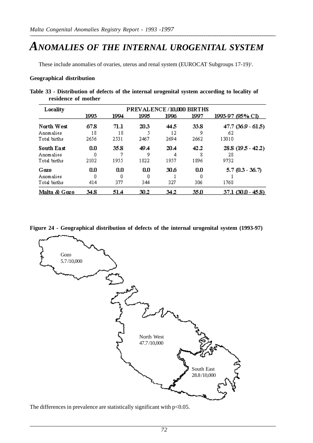### *ANOMALIES OF THE INTERNAL UROGENITAL SYSTEM*

These include anomalies of ovaries, uterus and renal system (EUROCAT Subgroups 17-19)<sup>1</sup>.

#### **Geographical distribution**

| Table 33 - Distribution of defects of the internal urogenital system according to locality of |  |  |
|-----------------------------------------------------------------------------------------------|--|--|
| residence of mother                                                                           |  |  |

| Locality     | PREVALENCE/10,000 BIRTHS |          |      |      |      |                     |  |  |
|--------------|--------------------------|----------|------|------|------|---------------------|--|--|
|              | 1993                     | 1994     | 1995 | 1996 | 1997 | 1993-97 (95% CI)    |  |  |
| North West   | 67.8                     | $71.1\,$ | 20.3 | 445  | 33.8 | 47.7 (36.9 - 61.5)  |  |  |
| Anomalies    | 18                       | 18       |      | 12   | 9    | 62                  |  |  |
| Total births | 2656                     | 2531     | 2467 | 2694 | 2662 | 13010               |  |  |
| South East   | 0.0                      | 35.8     | 49 A | 20.4 | 42.2 | 28.8 (19.5 - 42.2)  |  |  |
| Anomalies    | Ω                        |          | 9    |      |      | 28                  |  |  |
| Total births | 2102                     | 1955     | 1822 | 1957 | 1896 | 9732                |  |  |
| Gozo         | 0.0                      | 0.0      | 0.0  | 30.6 | 0.0  | $5.7(0.3 - 36.7)$   |  |  |
| Anomalies    | 0                        |          | 0    |      |      |                     |  |  |
| Total births | 414                      | 377      | 344  | 327  | 306  | 1768                |  |  |
| Malta & Gozo | 34.8                     | 51.4     | 30.2 | 34.2 | 35.O | $37.1(30.0 - 45.8)$ |  |  |

**Figure 24 - Geographical distribution of defects of the internal urogenital system (1993-97)**



The differences in prevalence are statistically significant with  $p<0.05$ .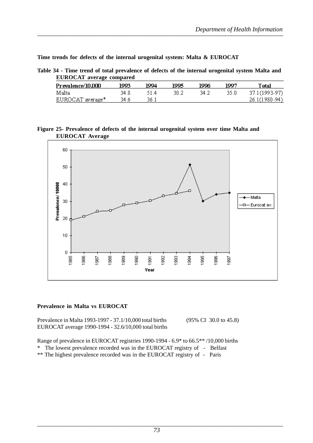**Time trends for defects of the internal urogenital system: Malta & EUROCAT**

**Table 34 - Time trend of total prevalence of defects of the internal urogenital system Malta and EUROCAT average compared**

| <u>Prevalence/10,000</u> | 1993  | 1994 | 1995 | 1996 | 1997  | T otal          |
|--------------------------|-------|------|------|------|-------|-----------------|
| Malta                    | 34 8. | 514  | 30.2 | 34 2 | -35.0 | 37.1 (1993-97)  |
| EUROCAT average*         | 34.6  | 36.1 |      |      |       | $26.1(1980-94)$ |

**Figure 25- Prevalence of defects of the internal urogenital system over time Malta and EUROCAT Average**



### **Prevalence in Malta vs EUROCAT**

Prevalence in Malta 1993-1997 - 37.1/10,000 total births (95% CI 30.0 to 45.8) EUROCAT average 1990-1994 - 32.6/10,000 total births

Range of prevalence in EUROCAT registries 1990-1994 - 6.9\* to 66.5\*\* /10,000 births

\* The lowest prevalence recorded was in the EUROCAT registry of - Belfast

\*\* The highest prevalence recorded was in the EUROCAT registry of - Paris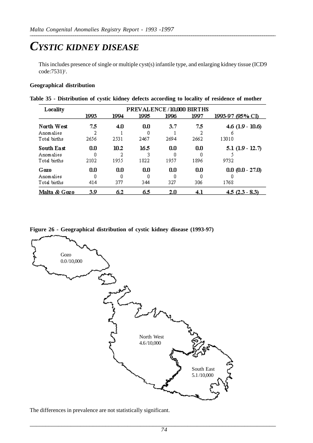# *CYSTIC KIDNEY DISEASE*

This includes presence of single or multiple cyst(s) infantile type, and enlarging kidney tissue (ICD9 code:7531)<sup>1</sup>.

### **Geographical distribution**

|  | Table 35 - Distribution of cystic kidney defects according to locality of residence of mother |  |  |  |  |  |
|--|-----------------------------------------------------------------------------------------------|--|--|--|--|--|
|  |                                                                                               |  |  |  |  |  |

| Locality                |          |      | PREVALENCE/10,000 BIRTHS |      |      |                         |
|-------------------------|----------|------|--------------------------|------|------|-------------------------|
|                         | 1993     | 1994 | 1995                     | 1996 | 1997 | 1993-97 (95% CI)        |
| North West<br>Anomalies | 7.5<br>2 | 4.0  | 0.0<br>0                 | 3.7  | 7.5  | $4.6$ (1.9 - 10.6)<br>ň |
| Total births            | 2656     | 2531 | 2467                     | 2694 | 2662 | 13010                   |
| South East              | 0.0      | 10.2 | 16.5                     | 0.0  | 0.0  | $5.1(1.9 - 12.7)$       |
| Anomalies               | Ω        |      | 3                        | П    | п    |                         |
| Total births            | 2102     | 1955 | 1822                     | 1957 | 1896 | 9732                    |
| Gozo                    | 0.0      | 0.0  | 0.0                      | 0.0  | 0.0  | $0.0 (0.0 - 27.0)$      |
| Anomalies               | Ω        | n    | 0                        | П    | n    |                         |
| Total births            | 414      | 377  | 344                      | 327  | 306  | 1768                    |
| Malta & Gozo            | 3.9      | 6.2  | 6.5                      | 2.0  | 4.1  | $4.5(2.3 - 8.3)$        |

**Figure 26 - Geographical distribution of cystic kidney disease (1993-97)**



The differences in prevalence are not statistically significant.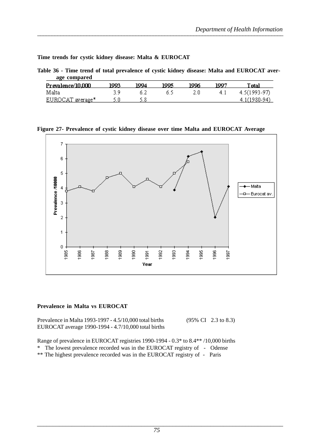**Time trends for cystic kidney disease: Malta & EUROCAT**

| Table 36 - Time trend of total prevalence of cystic kidney disease: Malta and EUROCAT aver- |  |  |
|---------------------------------------------------------------------------------------------|--|--|
| age compared                                                                                |  |  |

| Prevalence/10.000 | 1993 | 1994 | 1995 | 1996 | 1007 | l'otal         |
|-------------------|------|------|------|------|------|----------------|
| Malta             |      |      |      |      |      | $4.5(1993-97)$ |
| EUROCAT average*  |      |      |      |      |      | $4.1(1980-94)$ |

**Figure 27- Prevalence of cystic kidney disease over time Malta and EUROCAT Average**



### **Prevalence in Malta vs EUROCAT**

Prevalence in Malta 1993-1997 - 4.5/10,000 total births (95% CI 2.3 to 8.3) EUROCAT average 1990-1994 - 4.7/10,000 total births

Range of prevalence in EUROCAT registries 1990-1994 - 0.3\* to 8.4\*\* /10,000 births

\* The lowest prevalence recorded was in the EUROCAT registry of - Odense

\*\* The highest prevalence recorded was in the EUROCAT registry of - Paris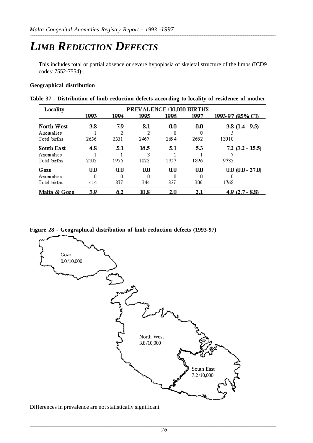# *LIMB REDUCTION DEFECTS*

This includes total or partial absence or severe hypoplasia of skeletal structure of the limbs (ICD9 codes: 7552-7554)1 .

### **Geographical distribution**

|  | Table 37 - Distribution of limb reduction defects according to locality of residence of mother |  |  |  |  |  |
|--|------------------------------------------------------------------------------------------------|--|--|--|--|--|
|  |                                                                                                |  |  |  |  |  |

| Locality                                |                 |                 |                   | PREVALENCE/10,000 BIRTHS |             |                            |
|-----------------------------------------|-----------------|-----------------|-------------------|--------------------------|-------------|----------------------------|
|                                         | 1993            | 1994            | 1995              | 1996                     | 1997        | 1993-97 (95% CI)           |
| North West<br>Anomalies                 | 3.8             | 7.9             | 8.1               | 0.0                      | 0.0         | $3.8(1.4-9.5)$             |
| Total births                            | 2656            | 2531            | 2467              | 2694                     | 2662        | 13010                      |
| South East<br>Anomalies<br>Total births | 4.8<br>2102     | 5.1<br>1955     | 16.5<br>3<br>1822 | 5.1<br>1957              | 5.3<br>1896 | $7.2$ (3.2 - 15.5)<br>9732 |
| Gozo<br>Anomalies<br>Total births       | 0.0<br>Ω<br>414 | 0.0<br>n<br>377 | 0.0<br>Ω<br>344   | 0.0<br>327               | 0.0<br>306  | $0.0 (0.0 - 27.0)$<br>1768 |
| Malta & Gozo                            | 3.9             | 6.2             | 10.8              | 2.0                      | 2.1         | $4.9(2.7 - 8.8)$           |

**Figure 28 - Geographical distribution of limb reduction defects (1993-97)**



Differences in prevalence are not statistically significant.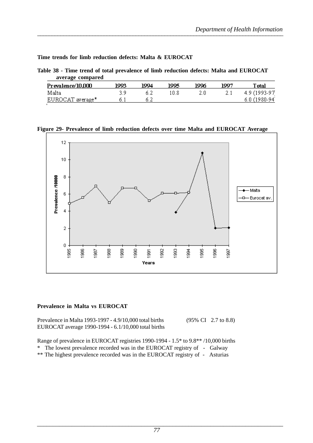**Time trends for limb reduction defects: Malta & EUROCAT**

| Table 38 - Time trend of total prevalence of limb reduction defects: Malta and EUROCAT |  |  |
|----------------------------------------------------------------------------------------|--|--|
| average compared                                                                       |  |  |

| Prevalence/10,000 | 1993 | 1004 | 1995.  | 1996 | 1001 | Total         |
|-------------------|------|------|--------|------|------|---------------|
| Malta             |      |      | I O. 8 |      |      | 4.9 (1993-97) |
| EUROCAT average*  |      |      |        |      |      | 6.0 (1980-94) |
|                   |      |      |        |      |      |               |

**Figure 29- Prevalence of limb reduction defects over time Malta and EUROCAT Average**



### **Prevalence in Malta vs EUROCAT**

Prevalence in Malta 1993-1997 - 4.9/10,000 total births (95% CI 2.7 to 8.8) EUROCAT average 1990-1994 - 6.1/10,000 total births

Range of prevalence in EUROCAT registries 1990-1994 - 1.5\* to 9.8\*\* /10,000 births

\* The lowest prevalence recorded was in the EUROCAT registry of - Galway

\*\* The highest prevalence recorded was in the EUROCAT registry of - Asturias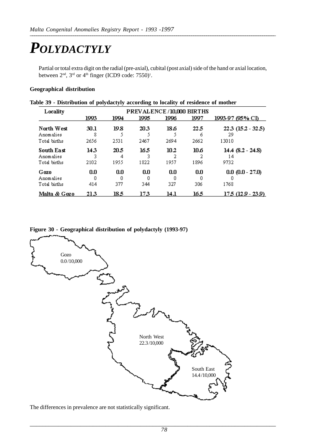# *POLYDACTYLY*

Partial or total extra digit on the radial (pre-axial), cubital (post axial) side of the hand or axial location, between  $2<sup>nd</sup>$ ,  $3<sup>rd</sup>$  or  $4<sup>th</sup>$  finger (ICD9 code: 7550)<sup>1</sup>.

### **Geographical distribution**

| Locality     | PREVALENCE/10,000 BIRTHS |      |      |      |      |                         |  |  |  |
|--------------|--------------------------|------|------|------|------|-------------------------|--|--|--|
|              | 1993                     | 1994 | 1995 | 1996 | 1997 | <u>1993-97 (95% CI)</u> |  |  |  |
| North West   | 30.1                     | 19.8 | 20.3 | 18.6 | 22.5 | $22.3(15.2 - 32.5)$     |  |  |  |
| Anomalies    | 8                        |      |      |      | 6    | 29                      |  |  |  |
| Total births | 2656                     | 2531 | 2467 | 2694 | 2662 | 13010                   |  |  |  |
| South East   | 14.3                     | 20.5 | 16.5 | 10.2 | 10.6 | $14.4$ (8.2 - 24.8)     |  |  |  |
| Anomalies    |                          | 4    |      |      |      | 14                      |  |  |  |
| Total births | 2102                     | 1955 | 1822 | 1957 | 1896 | 9732                    |  |  |  |
| Gozo         | 0.0                      | 0.0  | 0.0  | 0.0  | 0.0  | $0.0 (0.0 - 27.0)$      |  |  |  |
| Anomalies    | Ο                        | 0    |      |      |      |                         |  |  |  |
| Total births | 414                      | 377  | 344  | 327  | 306  | 1768                    |  |  |  |
| Malta & Gozo | 213                      | 185  | 173  | 14.1 | 16.5 | 175 (129 - 239)         |  |  |  |

### **Figure 30 - Geographical distribution of polydactyly (1993-97)**



The differences in prevalence are not statistically significant.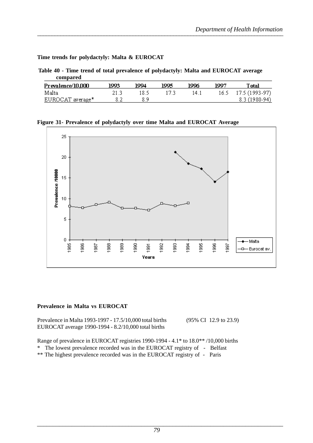**Time trends for polydactyly: Malta & EUROCAT**

|          | Table 40 - Time trend of total prevalence of polydactyly: Malta and EUROCAT average |
|----------|-------------------------------------------------------------------------------------|
| compared |                                                                                     |

| Prevalence/10,000 | 1993 | 1994 | 1995 | 1996 | 1997 | Total               |
|-------------------|------|------|------|------|------|---------------------|
| Malta             |      |      |      | 14 1 |      | 16.5 17.5 (1993-97) |
| EUROCAT average*  |      |      |      |      |      | $8.3(1980-94)$      |

**Figure 31- Prevalence of polydactyly over time Malta and EUROCAT Average**



### **Prevalence in Malta vs EUROCAT**

Prevalence in Malta 1993-1997 - 17.5/10,000 total births (95% CI 12.9 to 23.9) EUROCAT average 1990-1994 - 8.2/10,000 total births

Range of prevalence in EUROCAT registries 1990-1994 - 4.1\* to 18.0\*\* /10,000 births

\* The lowest prevalence recorded was in the EUROCAT registry of - Belfast

\*\* The highest prevalence recorded was in the EUROCAT registry of - Paris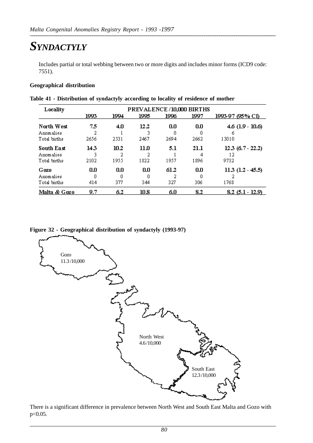# *SYNDACTYLY*

Includes partial or total webbing between two or more digits and includes minor forms (ICD9 code: 7551).

### **Geographical distribution**

| Locality     | PREVALENCE/10,000 BIRTHS |      |      |      |      |                       |  |  |  |  |
|--------------|--------------------------|------|------|------|------|-----------------------|--|--|--|--|
|              | 1993                     | 1994 | 1995 | 1996 | 1997 | 1993-97 (95% CI)      |  |  |  |  |
| North West   | 7.5                      | 4.0  | 12.2 | 0.0  | 0.0  | $4.6$ (1.9 - 10.6)    |  |  |  |  |
| Anomalies    |                          |      |      |      |      | n                     |  |  |  |  |
| Total births | 2656                     | 2531 | 2467 | 2694 | 2662 | 13010                 |  |  |  |  |
| South East   | 143                      | 10.2 | 11.0 | 5.1  | 21.1 | $12.3(6.7 - 22.2)$    |  |  |  |  |
| Anomalies    |                          | 2    |      |      |      | 12                    |  |  |  |  |
| Total births | 2102                     | 1955 | 1822 | 1957 | 1896 | 9732                  |  |  |  |  |
| Gozo         | 0.0                      | 0.0  | 0.0  | 61.2 | 0.0  | $11.3$ $(1.2 - 45.5)$ |  |  |  |  |
| Anomalies    | n                        | Ω    | n    |      |      |                       |  |  |  |  |
| Total births | 414                      | 377  | 344  | 327  | 306  | 1768                  |  |  |  |  |
| Malta & Gozo | 9.7                      | 6.2  | 10.8 | 6.0  | 8.2  | $8.2(5.1 - 12.9)$     |  |  |  |  |

**Table 41 - Distribution of syndactyly according to locality of residence of mother**

### **Figure 32 - Geographical distribution of syndactyly (1993-97)**



There is a significant difference in prevalence between North West and South East Malta and Gozo with p<0.05.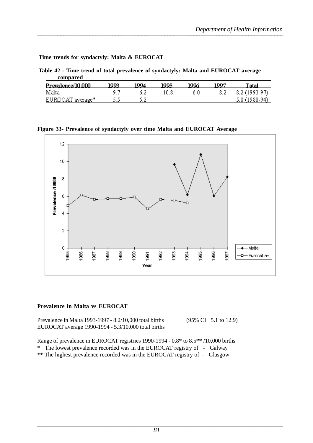**Time trends for syndactyly: Malta & EUROCAT**

|          | Table 42 - Time trend of total prevalence of syndactyly: Malta and EUROCAT average |
|----------|------------------------------------------------------------------------------------|
| compared |                                                                                    |
|          |                                                                                    |

| Prevalence/10.000 | 1993 | 1004 | 1995 | 1996 | 1007 | [ otal         |
|-------------------|------|------|------|------|------|----------------|
| Malta             |      |      |      | ñ II | 8.2  | 8.2 (1993-97)  |
| EUROCAT average*  |      |      |      |      |      | $5.8(1980-94)$ |

**Figure 33- Prevalence of syndactyly over time Malta and EUROCAT Average**



### **Prevalence in Malta vs EUROCAT**

Prevalence in Malta 1993-1997 - 8.2/10,000 total births (95% CI 5.1 to 12.9) EUROCAT average 1990-1994 - 5.3/10,000 total births

Range of prevalence in EUROCAT registries 1990-1994 - 0.8\* to 8.5\*\* /10,000 births

\* The lowest prevalence recorded was in the EUROCAT registry of - Galway

\*\* The highest prevalence recorded was in the EUROCAT registry of - Glasgow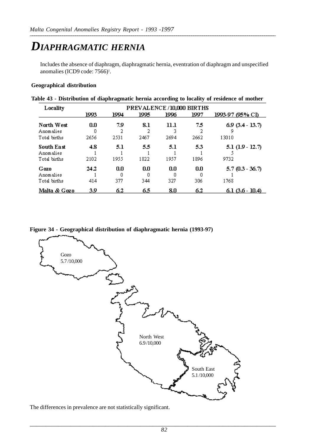# *DIAPHRAGMATIC HERNIA*

Includes the absence of diaphragm, diaphragmatic hernia, eventration of diaphragm and unspecified anomalies (ICD9 code: 7566)<sup>1</sup>.

### **Geographical distribution**

|  | Table 43 - Distribution of diaphragmatic hernia according to locality of residence of mother |  |  |  |  |  |  |
|--|----------------------------------------------------------------------------------------------|--|--|--|--|--|--|
|  |                                                                                              |  |  |  |  |  |  |

| Locality                                | PREVALENCE/10,000 BIRTHS |             |                 |             |             |                           |  |  |  |  |
|-----------------------------------------|--------------------------|-------------|-----------------|-------------|-------------|---------------------------|--|--|--|--|
|                                         | 1993                     | 1994        | 1995            | 1996        | 1997        | 1993-97 (95% CI)          |  |  |  |  |
| North West<br>Anomalies                 | 0.0<br>Ω                 | 7.9         | 8.1             | 11.1        | 7.5         | $6.9(3.4 - 13.7)$<br>9    |  |  |  |  |
| Total births                            | 2656                     | 2531        | 2467            | 2694        | 2662        | 13010                     |  |  |  |  |
| South East<br>Anomalies<br>Total births | 4.8<br>2102              | 5.1<br>1955 | 5.5<br>1822     | 5.1<br>1957 | 5.3<br>1896 | $5.1(1.9 - 12.7)$<br>9732 |  |  |  |  |
| Gozo<br>Anomalies<br>Total births       | 24.2<br>414              | 0.0<br>377  | 0.0<br>Ο<br>344 | 0.0<br>327  | 0.0<br>306  | $5.7(0.3 - 36.7)$<br>1768 |  |  |  |  |
| Malta & Gozo                            | 3.9                      | 6.2         | 6.5             | 8.0         | 6.2         | $6.1(3.6-10.4)$           |  |  |  |  |

**Figure 34 - Geographical distribution of diaphragmatic hernia (1993-97)**



The differences in prevalence are not statistically significant.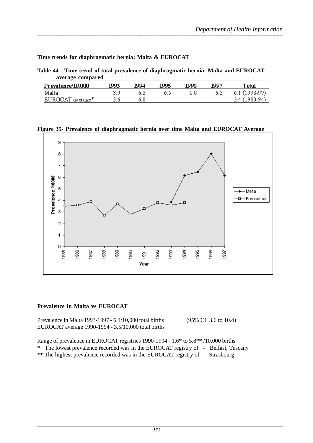**Time trends for diaphragmatic hernia: Malta & EUROCAT**

**Table 44 - Time trend of total prevalence of diaphragmatic hernia: Malta and EUROCAT average compared**

| Prevalence/10.000 | 1993 | 1994. | 1995 | 1996 | 1007 | <b>T</b> otal  |
|-------------------|------|-------|------|------|------|----------------|
| Malta             |      |       |      |      |      | $6.1(1993-97)$ |
| EUROCAT average*  |      |       |      |      |      | 3.4 (1980-94)  |

**Figure 35- Prevalence of diaphragmatic hernia over time Malta and EUROCAT Average**



### **Prevalence in Malta vs EUROCAT**

Prevalence in Malta 1993-1997 - 6.1/10,000 total births (95% CI 3.6 to 10.4) EUROCAT average 1990-1994 - 3.5/10,000 total births

Range of prevalence in EUROCAT registries 1990-1994 - 1.6\* to 5.8\*\* /10,000 births

\* The lowest prevalence recorded was in the EUROCAT registry of - Belfast, Tuscany

\*\* The highest prevalence recorded was in the EUROCAT registry of - Strasbourg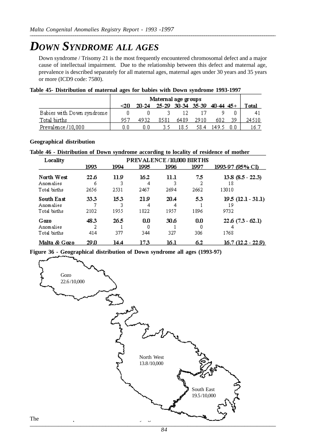# *DOWN SYNDROME ALL AGES*

Down syndrome / Trisomy 21 is the most frequently encountered chromosomal defect and a major cause of intellectual impairment. Due to the relationship between this defect and maternal age, prevalence is described separately for all maternal ages, maternal ages under 30 years and 35 years or more (ICD9 code: 7580).

| Table 45- Distribution of maternal ages for babies with Down syndrome 1993-1997 |  |  |  |
|---------------------------------------------------------------------------------|--|--|--|

|                           |     | Maternal age groups<br>25-29 30-34 35-39 40-44 45+ |      |       |      |       |     |               |  |
|---------------------------|-----|----------------------------------------------------|------|-------|------|-------|-----|---------------|--|
|                           | -20 | 20-24                                              |      |       |      |       |     | <b>T</b> otal |  |
| Babies with Down syndrome |     |                                                    |      |       |      |       |     |               |  |
| Total births              | 953 | 4932                                               | 8581 | 6489  | 2910 | 602   | 39. | 24510         |  |
| Prevalence /10,000        |     | ΠN                                                 |      | 18.5. | 58.4 | 149.5 |     | 16.7          |  |

### **Geographical distribution**

**Table 46 - Distribution of Down syndrome according to locality of residence of mother**

| Locality                                | PREVALENCE/10,000 BIRTHS |              |                   |              |             |                                   |  |  |  |  |
|-----------------------------------------|--------------------------|--------------|-------------------|--------------|-------------|-----------------------------------|--|--|--|--|
|                                         | 1993                     | 1994         | 1995              | 1996         | 1997        | 1993-97 (95% CI)                  |  |  |  |  |
| North West<br>Anomalies<br>Total births | 22.6.<br>6<br>2656       | 11.9<br>2531 | 16.2<br>4<br>2467 | 11.1<br>2694 | 7.5<br>2662 | $13.8(8.5 - 22.3)$<br>18<br>13010 |  |  |  |  |
| South East<br>Anomalies<br>Total births | 33.3<br>2102             | 153<br>1955  | 21.9<br>4<br>1822 | 20.4<br>1957 | 5.3<br>1896 | $19.5(12.1 - 31.1)$<br>19<br>9732 |  |  |  |  |
| Gozo<br>Anomalies<br>Total births       | 48.3<br>2<br>414         | 26.5<br>377  | 0.0<br>Ο<br>344   | 30.6<br>327  | 0.0<br>306  | $22.6(7.3 - 62.1)$<br>1768        |  |  |  |  |
| Malta & Gozo                            | 29 D                     | 14.4         | 173               | 16.1         | 6.2         | $16.7(12.2 - 22.9)$               |  |  |  |  |

**Figure 36 - Geographical distribution of Down syndrome all ages (1993-97)**

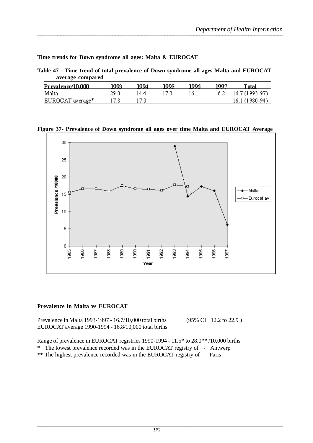**Time trends for Down syndrome all ages: Malta & EUROCAT**

| Table 47 - Time trend of total prevalence of Down syndrome all ages Malta and EUROCAT |  |  |  |
|---------------------------------------------------------------------------------------|--|--|--|
| average compared                                                                      |  |  |  |

| Prevalence/10.000 | 1993. | 1994  | 1995. | 1996  | 1997 | l'otal               |
|-------------------|-------|-------|-------|-------|------|----------------------|
| Malta             |       | 14 4. |       | 16. I |      | $6.2$ 16.7 (1993-97) |
| EUROCAT average*  | 17.8  |       |       |       |      | 16.1 (1980-94)       |

### **Figure 37- Prevalence of Down syndrome all ages over time Malta and EUROCAT Average**



### **Prevalence in Malta vs EUROCAT**

Prevalence in Malta 1993-1997 - 16.7/10.000 total births (95% CI 12.2 to 22.9) EUROCAT average 1990-1994 - 16.8/10,000 total births

Range of prevalence in EUROCAT registries 1990-1994 - 11.5\* to 28.0\*\* /10,000 births

\* The lowest prevalence recorded was in the EUROCAT registry of - Antwerp

\*\* The highest prevalence recorded was in the EUROCAT registry of - Paris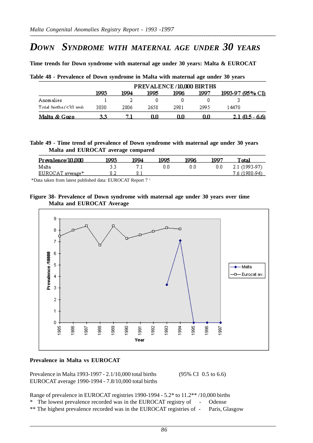# *DOWN SYNDROME WITH MATERNAL AGE UNDER 30 YEARS*

**Time trends for Down syndrome with maternal age under 30 years: Malta & EUROCAT**

**Table 48 - Prevalence of Down syndrome in Malta with maternal age under 30 years**

|                              | PREVALENCE/10,000 BIRTHS |      |      |      |      |                        |
|------------------------------|--------------------------|------|------|------|------|------------------------|
|                              | 1993                     | 1994 | 1995 | 1996 | 1997 | 1993-97 (95% CI)       |
| Anomalies                    |                          |      |      |      |      |                        |
| Total births $(\leq 30$ vrs) | 3030                     | 2806 | 2658 | 2981 | 2995 | 14470                  |
| <u>Malta &amp; Gozo</u>      | 3.3.                     |      | U.U  | 0.0  | U.U  | <u>2.1 (0.5 - 6.6)</u> |

**Table 49 - Time trend of prevalence of Down syndrome with maternal age under 30 years Malta and EUROCAT average compared**

| Prevalence/10.000 | 1993. | 1004 | 1995 | 1996 | 100° | `otal         |
|-------------------|-------|------|------|------|------|---------------|
| Malta             |       |      | ΠП   |      | 0.0  | 2.1 (1993-97) |
| EUROCAT average*  |       |      |      |      |      | 7.6 (1980-94) |

\*Data taken from latest published data: EUROCAT Report 7 1

### **Figure 38- Prevalence of Down syndrome with maternal age under 30 years over time Malta and EUROCAT Average**



### **Prevalence in Malta vs EUROCAT**

Prevalence in Malta 1993-1997 - 2.1/10,000 total births (95% CI 0.5 to 6.6) EUROCAT average 1990-1994 - 7.8/10,000 total births

Range of prevalence in EUROCAT registries 1990-1994 - 5.2\* to 11.2\*\* /10,000 births

- \* The lowest prevalence recorded was in the EUROCAT registry of Odense
- \*\* The highest prevalence recorded was in the EUROCAT registries of Paris, Glasgow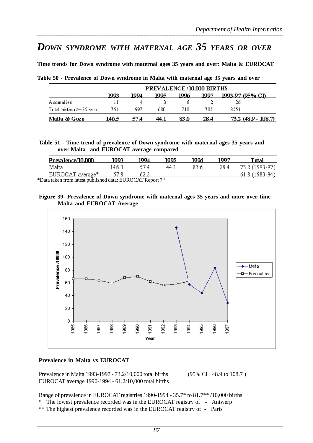# *DOWN SYNDROME WITH MATERNAL AGE 35 YEARS OR OVER*

**Time trends for Down syndrome with maternal ages 35 years and over: Malta & EUROCAT**

**Table 50 - Prevalence of Down syndrome in Malta with maternal age 35 years and over**

|                             | PREVALENCE/10,000 BIRTHS |      |      |      |       |                     |
|-----------------------------|--------------------------|------|------|------|-------|---------------------|
|                             | 1993                     | 1994 | 1995 | 1996 | 1997. | 1993-97 (95% CD     |
| Anomalies                   |                          |      |      |      |       | 26                  |
| Total births $\ge$ =35 vrs) | 751                      | 697  | 680. | 718  | 705   | 3551                |
| Malta & Gozo                | 146.5                    | 57.A | 44.1 | 83 G | 28.4  | 73.2 (48.9 - 108.7) |

**Table 51 - Time trend of prevalence of Down syndrome with maternal ages 35 years and over Malta and EUROCAT average compared**

| Prevalence/10.000 | 1993    | 1994 | 1995. | 1996 | 1007 | Total          |
|-------------------|---------|------|-------|------|------|----------------|
| Malta             | 14 6. O | 57.4 | 44 I  | 83.6 | 28.4 | 73.2 (1993-97) |
| EUROCAT average*  |         | 62.2 |       |      |      | 61.8 (1980-94) |

\*Data taken from latest published data: EUROCAT Report 7 1

### **Figure 39- Prevalence of Down syndrome with maternal ages 35 years and more over time Malta and EUROCAT Average**



### **Prevalence in Malta vs EUROCAT**

Prevalence in Malta 1993-1997 - 73.2/10,000 total births (95% CI 48.9 to 108.7) EUROCAT average 1990-1994 - 61.2/10,000 total births

Range of prevalence in EUROCAT registries 1990-1994 - 35.7\* to 81.7\*\* /10,000 births

- \* The lowest prevalence recorded was in the EUROCAT registry of Antwerp
- \*\* The highest prevalence recorded was in the EUROCAT registry of Paris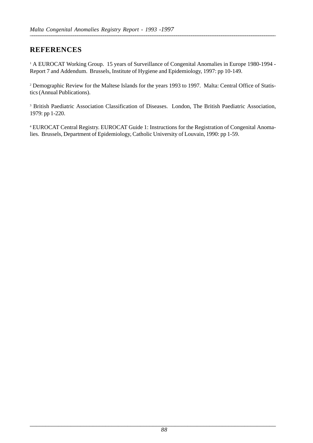## **REFERENCES**

<sup>1</sup> A EUROCAT Working Group. 15 years of Surveillance of Congenital Anomalies in Europe 1980-1994 -Report 7 and Addendum. Brussels, Institute of Hygiene and Epidemiology, 1997: pp 10-149.

2 Demographic Review for the Maltese Islands for the years 1993 to 1997. Malta: Central Office of Statistics (Annual Publications).

<sup>3</sup> British Paediatric Association Classification of Diseases. London, The British Paediatric Association, 1979: pp 1-220.

4 EUROCAT Central Registry. EUROCAT Guide 1: Instructions for the Registration of Congenital Anomalies. Brussels, Department of Epidemiology, Catholic University of Louvain, 1990: pp 1-59.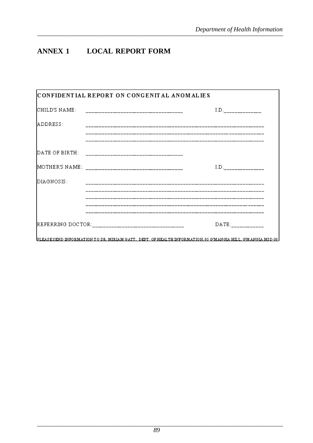### **LOCAL REPORT FORM ANNEX 1**

|               | CONFIDENTIAL REPORT ON CONGENITAL ANOMALIES                                                                |       |
|---------------|------------------------------------------------------------------------------------------------------------|-------|
| CHILD'S NAME: | ---------------------------------                                                                          | I.D.  |
| ADDRESS:      |                                                                                                            |       |
|               |                                                                                                            |       |
|               |                                                                                                            |       |
|               |                                                                                                            | I.D.  |
| DIAGNOSIS:    |                                                                                                            |       |
|               |                                                                                                            |       |
|               |                                                                                                            |       |
|               |                                                                                                            | DATE: |
|               | PLEASESEND INFORMATION TO DR. MIRIAM GATT. DEPT. OF HEALTH INFORMATION, 95 G'MANGIA HILL, G'MANGIA MSD 08. |       |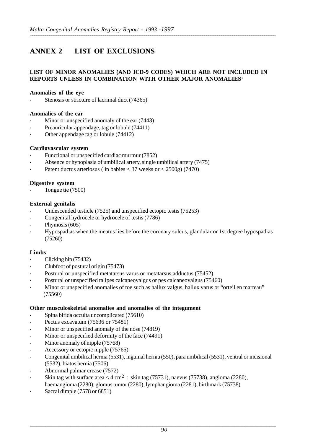# **ANNEX 2 LIST OF EXCLUSIONS**

### **LIST OF MINOR ANOMALIES (AND ICD-9 CODES) WHICH ARE NOT INCLUDED IN REPORTS UNLESS IN COMBINATION WITH OTHER MAJOR ANOMALIES1**

### **Anomalies of the eye**

Stenosis or stricture of lacrimal duct (74365)

### **Anomalies of the ear**

- **·** Minor or unspecified anomaly of the ear (7443)
- Preauricular appendage, tag or lobule (74411)
- **·** Other appendage tag or lobule (74412)

### **Cardiovascular system**

- **·** Functional or unspecified cardiac murmur (7852)
- **·** Absence or hypoplasia of umbilical artery, single umbilical artery (7475)
- **·** Patent ductus arteriosus ( in babies < 37 weeks or < 2500g) (7470)

### **Digestive system**

**·** Tongue tie (7500)

### **External genitalis**

- **·** Undescended testicle (7525) and unspecified ectopic testis (75253)
- **·** Congenital hydrocele or hydrocele of testis (7786)
- **·** Phymosis (605)
- **·** Hypospadias when the meatus lies before the coronary sulcus, glandular or 1st degree hypospadias (75260)

### **Limbs**

- **·** Clicking hip (75432)
- **·** Clubfoot of postural origin (75473)
- Postural or unspecified metatarsus varus or metatarsus adductus (75452)
- **·** Postural or unspecified talipes calcaneovalgus or pes calcaneovalgus (75460)
- Minor or unspecified anomalies of toe such as hallux valgus, hallux varus or "orteil en marteau" (75560)

### **Other musculoskeletal anomalies and anomalies of the integument**

- **·** Spina bifida occulta uncomplicated (75610)
- **·** Pectus excavatum (75636 or 75481)
- **·** Minor or unspecified anomaly of the nose (74819)
- **·** Minor or unspecified deformity of the face (74491)
- **·** Minor anomaly of nipple (75768)
- **·** Accessory or ectopic nipple (75765)
- **·** Congenital umbilical hernia (5531), inguinal hernia (550), para umbilical (5531), ventral or incisional (5532), hiatus hernia (7506)
- **·** Abnormal palmar crease (7572)
- Skin tag with surface area  $<$  4 cm<sup>2</sup>: skin tag (75731), naevus (75738), angioma (2280), haemangioma (2280), glomus tumor (2280), lymphangioma (2281), birthmark (75738)
- **·** Sacral dimple (7578 or 6851)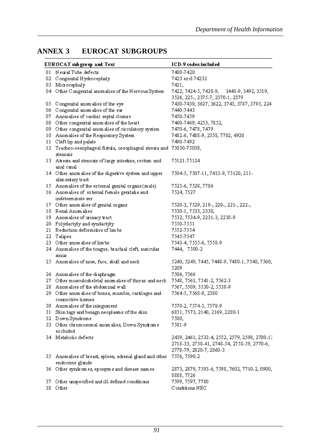### EUROCAT SUBGROUPS **ANNEX 3**

|     | EUROCAT sub group and Text                                                  | ICD-9 codes included                                        |
|-----|-----------------------------------------------------------------------------|-------------------------------------------------------------|
|     | 01 Neural Tube defects                                                      | 7400-7420                                                   |
| 02  | Congenital Hydrocephaly                                                     | 7423 exc174232                                              |
|     | 03 Microcephaly                                                             | 7421,                                                       |
|     | 04 Other Congenital anomalies of the Nervous System                         | 7422, 7424-5, 7428-9, 3440-9, 3492, 3519,                   |
|     |                                                                             | 3526, 225-, 2375-7, 2370-1, 2379                            |
| 05. | Congenital anomalies of the eye                                             | 7430-7439, 3627, 3622, 3743, 3787, 3795, 224                |
| 06  | Congenital anomalies of the ear                                             | 7440-7443                                                   |
|     | 07 Anomalies of cardiac septal closure                                      | 7450-7459                                                   |
|     | 08 Other congenital anomalies of the heart                                  | 7460-7469, 4253, 7852,                                      |
|     | 09 Other congenital anomalies of circulatory system                         | 7470-6, 7478, 7479                                          |
|     | 10 Anomalies of the Respiratory System                                      | 7482-6, 7488-9, 2358, 7702, 4920                            |
|     | 11 Cleft lip and palate                                                     | 7490-7492                                                   |
|     | 12 Tracheo-oesophageal fistula, oesophageal atresia and 75030-75038,        |                                                             |
|     | stenosis                                                                    |                                                             |
|     | 13 Atresia and stenosis of large intestine, rectum and<br>anal canal        | 75121-75124                                                 |
|     | 14 Other anom alies of the digestive system and upper<br>alim entary tract  | 7504-5, 7507-11, 7413-9, 75120, 211-                        |
|     | 15 Anomalies of the external genital organs (male)                          | 7525-6, 7528, 7786                                          |
|     | 16 Anomalies of external female genitalia and                               | 7524, 7527                                                  |
|     | indeterminate sex                                                           |                                                             |
|     | 17 Other anom alies of genital organs                                       | 7520-3, 7529, 219-, 220-, 221-, 222-,                       |
|     | 18 Renal Anomalies                                                          | 7530-1, 7533, 2330,                                         |
|     | 19 Anomalies of urinary tract                                               | 7532, 7534-9, 2231-3, 2238-9                                |
|     | 20 Polydactyly and syndactyly                                               | 7550-7551                                                   |
|     | 21 Reduction deformities of limbs                                           | 7552-7554                                                   |
|     | 22 Talipes                                                                  | 7545-7547                                                   |
|     | 23 Other anomalies of limbs                                                 | 7543-4, 7555-6, 7558-9                                      |
|     | 24 Anomalies of the tongue, brachial cleft, auricular                       | 7444, 7500-2                                                |
|     | sinus                                                                       |                                                             |
|     | 25 Anomalies of nose, face, skull and neck                                  | 5240, 5249, 7445, 7448-9, 7480-1, 7540, 7560,               |
|     |                                                                             | 5209                                                        |
|     | 26 Anomalies of the diaphragm                                               | 7506, 7566                                                  |
|     | 27 Other musculoskeletal anomalies of thorax and neck                       | 7548, 7561, 7541-2, 7562-3                                  |
|     | 28 Anomalies of the abdominal wall                                          | 7567, 5509, 5530-2, 5538-9                                  |
|     | 29 Other anom alies of bones, muscles, cartilages and<br>connective tissues | 7564-5, 7568-9, 2380                                        |
|     | 30 Anomalies of the integument                                              | 7570-2, 7574-5, 7578-9                                      |
| 31  | Skin tags and benign neoplasms of the skin                                  | 6851, 7573, 2140, 2169, 2280-1                              |
|     | 32 Down Syndrome                                                            | 7580,                                                       |
|     | 33 Other chromosomal anomalies, Down Syndrome                               | 7581-9                                                      |
|     | ex cluded                                                                   |                                                             |
|     | 34 Metabolic defects                                                        | 2439, 2461, 2533-4, 2552, 2579, 2598, 2700-13               |
|     |                                                                             | 2718-33, 2738-41, 2748-54, 2758-59, 2770-6,                 |
|     |                                                                             | 2778-79, 2820-7, 2860-3                                     |
|     | 35 Anomalies of breast, spleen, adrenal gland and other<br>endocrine glands | 7576, 7590-2                                                |
|     | 36 Other syndromes, eponyms and disease names                               | 2873, 2879, 7593-6, 7598, 7602, 7710-2, 0900,<br>8888, 7726 |
| 37. | Other unspecified and ill-defined conditions                                | 7599, 7597, 7780                                            |
| 38  | Other                                                                       | Conditions NEC                                              |
|     |                                                                             |                                                             |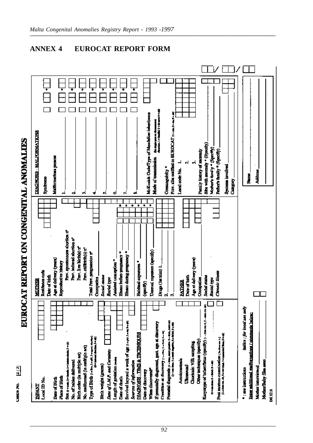# EUROCAT REPORT ON CONGENITAL ANOMALIES

| Local ID No.<br><b>REACT</b>                                                                                                                                                         | Besidence rode<br>Dute of birth<br>MOTHER                   | <b>DIAGNOSIA - MALFORMATICAS</b><br>Syndrome                                                        |
|--------------------------------------------------------------------------------------------------------------------------------------------------------------------------------------|-------------------------------------------------------------|-----------------------------------------------------------------------------------------------------|
| Place of Birth<br>Date of Birth                                                                                                                                                      | Ago at delivery (years)<br>Reproductive history             | ı<br>Maliformaticus poeses<br>⊣                                                                     |
| SER () = min, 2 = finish is intermediate, 9 = di)<br>No. of bables delivered                                                                                                         | Prev. spontnoncore abortion n°<br>Pasv, induced election nº | .<br>په                                                                                             |
| No. malformed (la maltiple act)<br>Birth order (in multiple set)                                                                                                                     | Prov. live birth(s) n°<br>Prev.stillstrib(s) n°             | ٠ŕ,                                                                                                 |
| Type of Birth defined as sell to excess decay<br>(4 = hotel destiny) and                                                                                                             | Total Prev. pregnancies nº                                  |                                                                                                     |
| Hitch weight (grams)                                                                                                                                                                 | Social states<br>Occupation.                                | ı<br>v,                                                                                             |
| Date of LMP. and Certainty<br>Length of gestation recess                                                                                                                             | Assisted conception."<br>Racial type                        | ಠ                                                                                                   |
| Date of death                                                                                                                                                                        | ٠<br>Illiness before pregnancy *                            | T                                                                                                   |
| Survival beyond a week of age days dassers<br>Sources of Information                                                                                                                 | ٠<br>٠<br>These during programsy *                          | ÷,                                                                                                  |
| DIAGNOSIS - TIMB & TECHNICARS                                                                                                                                                        | ٠<br>Habitanl exposures *                                   | Ŧ<br>                                                                                               |
| <b>When discovered<sup>4</sup></b><br>Date of discovery                                                                                                                              | Ξ<br>٠<br>Unoual caposure (specify)<br>$($ (apacity)        | McKunick Code/Type of Mendelian inheritance                                                         |
| If precatally diagnosed, gest. ugs at discovery<br>Condition at discretely partners and same                                                                                         | Drugs (Ist trim) 1.                                         | (he single para out-beneament)<br>Anoston, 1 st Sandwig 1 a de mars 9 a sig<br>Mode of transmission |
| Presental diagonals (1-sec, ma gentes 1-des, sec ao<br>O - se des, 4-se après 1-sec, 1-sec, 2-sep                                                                                    | .,<br>ಹ                                                     | Pray, also notified to BUROCAT (1-ym,2-m,9-m;<br>Consunguintly *                                    |
| Ammocenteria                                                                                                                                                                         | <b>BATHER</b>                                               | ⊣<br>Local code No.                                                                                 |
| Chorocale Villi sampling<br>Ultrapund                                                                                                                                                | Ago at delivery (years)<br>Date of birth                    | ń<br>Ń                                                                                              |
| Karyatype of infart/fistus (specify) [1-amm.k.z-amm.m.in<br>Other techniques (specify)                                                                                               | <b>Sodal num</b><br><b>Occupation</b>                       | Site with anomaly + (Specify)<br>Family bistory of memody                                           |
| Post motives examination (was as to<br>$\label{eq:G} G = \text{min} \left\{ \text{min} \left\{ \text{min} \left\{ \text{min} \left\{ \text{min} \right\} \right\} \right\} \right\}$ | Chronic illuser<br>Racial type                              | Mother's family * (Specify)<br>Fether's family * (Specify)                                          |
| (2 = dame and air, 3 = acc down, 4 = pawered three, 5 = air)                                                                                                                         |                                                             | Systems involved<br>Calairy                                                                         |
| the sea local and chip<br><sup>a</sup> : see instructions                                                                                                                            |                                                             |                                                                                                     |
| Enter additional maliformations / comments belows<br>Mother interviewed                                                                                                              |                                                             | Authors.<br>į                                                                                       |
| MotherBuby files seen<br>DHITIN                                                                                                                                                      |                                                             |                                                                                                     |

### **ANNEX 4** EUROCAT REPORT FORM